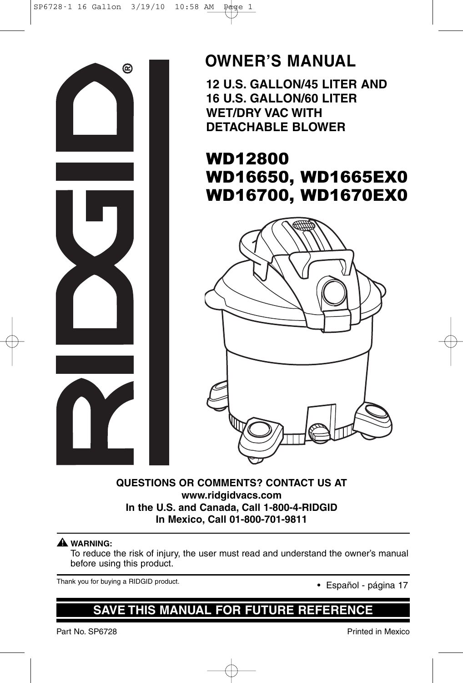

### **OWNER'S MANUAL**

**12 U.S. GALLON/45 LITER AND 16 U.S. GALLON/60 LITER WET/DRY VAC WITH DETACHABLE BLOWER**

### WD12800 WD16650, WD1665EX0 WD16700, WD1670EX0



#### **QUESTIONS OR COMMENTS? CONTACT US AT www.ridgidvacs.com In the U.S. and Canada, Call 1-800-4-RIDGID In Mexico, Call 01-800-701-9811**

#### **WARNING: !**

To reduce the risk of injury, the user must read and understand the owner's manual before using this product.

Thank you for buying a RIDGID product.<br>• Español - página 17

### **SAVE THIS MANUAL FOR FUTURE REFERENCE**

Part No. SP6728 Printed in Mexico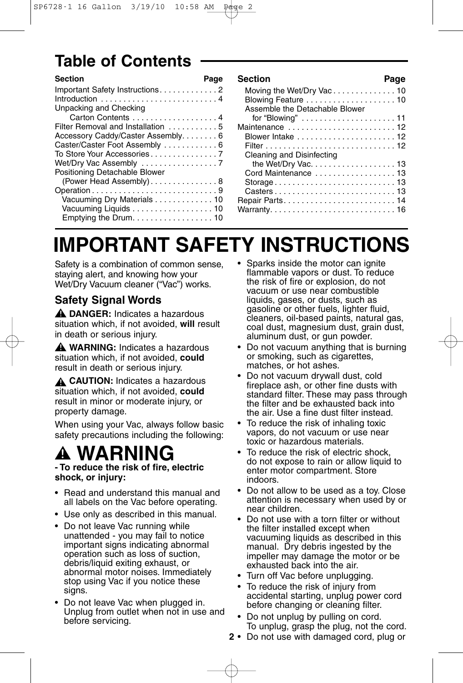## **Table of Contents**

| <b>Section</b>                     | Page |
|------------------------------------|------|
|                                    |      |
|                                    |      |
| Unpacking and Checking             |      |
| Carton Contents 4                  |      |
| Filter Removal and Installation 5  |      |
| Accessory Caddy/Caster Assembly. 6 |      |
| Caster/Caster Foot Assembly 6      |      |
|                                    |      |
|                                    |      |
| Positioning Detachable Blower      |      |
| (Power Head Assembly)8             |      |
| Operation9                         |      |
| Vacuuming Dry Materials 10         |      |
| Vacuuming Liquids 10               |      |
| Emptying the Drum. 10              |      |

| <b>Section</b>                                                          | Page |
|-------------------------------------------------------------------------|------|
| Moving the Wet/Dry Vac10                                                |      |
|                                                                         |      |
| Assemble the Detachable Blower                                          |      |
| for "Blowing" $\ldots \ldots \ldots \ldots \ldots \ldots \ldots \ldots$ |      |
| Maintenance 12                                                          |      |
|                                                                         |      |
|                                                                         |      |
| Cleaning and Disinfecting                                               |      |
| the Wet/Dry Vac. 13                                                     |      |
| Cord Maintenance  13                                                    |      |
| Storage13                                                               |      |
|                                                                         |      |
|                                                                         |      |
|                                                                         |      |

# **IMPORTANT SAFETY INSTRUCTIONS**

Safety is a combination of common sense, staying alert, and knowing how your Wet/Dry Vacuum cleaner ("Vac") works.

### **Safety Signal Words**

**DANGER:** Indicates a hazardous **!** situation which, if not avoided, **will** result in death or serious injury.

**WARNING:** Indicates a hazardous **!** situation which, if not avoided, **could** result in death or serious injury.

**CAUTION:** Indicates a hazardous **!** situation which, if not avoided, **could** result in minor or moderate injury, or property damage.

When using your Vac, always follow basic safety precautions including the following:

# **WARNING - To reduce the risk of fire, electric !**

## **shock, or injury:**

- Read and understand this manual and all labels on the Vac before operating.
- Use only as described in this manual.
- Do not leave Vac running while unattended - you may fail to notice important signs indicating abnormal operation such as loss of suction, debris/liquid exiting exhaust, or abnormal motor noises. Immediately stop using Vac if you notice these signs.
- Do not leave Vac when plugged in. Unplug from outlet when not in use and before servicing.
- Sparks inside the motor can ignite flammable vapors or dust. To reduce the risk of fire or explosion, do not vacuum or use near combustible liquids, gases, or dusts, such as gasoline or other fuels, lighter fluid, cleaners, oil-based paints, natural gas, coal dust, magnesium dust, grain dust, aluminum dust, or gun powder.
- Do not vacuum anything that is burning or smoking, such as cigarettes, matches, or hot ashes.
- Do not vacuum drywall dust, cold fireplace ash, or other fine dusts with standard filter. These may pass through the filter and be exhausted back into the air. Use a fine dust filter instead.
- To reduce the risk of inhaling toxic vapors, do not vacuum or use near toxic or hazardous materials.
- To reduce the risk of electric shock. do not expose to rain or allow liquid to enter motor compartment. Store indoors.
- Do not allow to be used as a toy. Close attention is necessary when used by or near children.
- Do not use with a torn filter or without the filter installed except when vacuuming liquids as described in this manual. Dry debris ingested by the impeller may damage the motor or be exhausted back into the air.
- Turn off Vac before unplugging.
- To reduce the risk of injury from accidental starting, unplug power cord before changing or cleaning filter.
- Do not unplug by pulling on cord. To unplug, grasp the plug, not the cord.
- **2** Do not use with damaged cord, plug or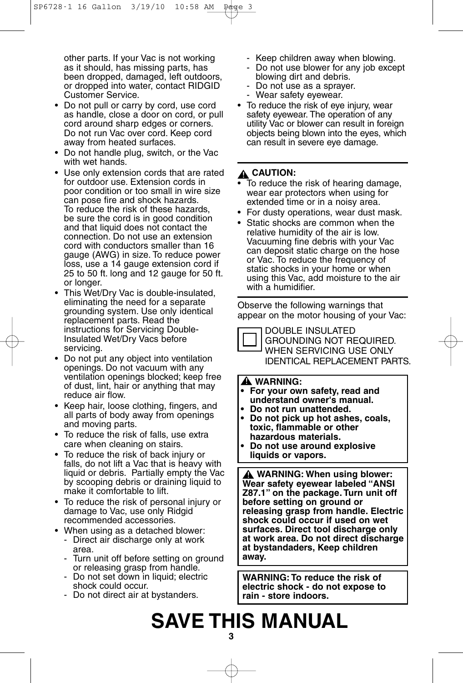other parts. If your Vac is not working as it should, has missing parts, has been dropped, damaged, left outdoors, or dropped into water, contact RIDGID Customer Service.

- Do not pull or carry by cord, use cord as handle, close a door on cord, or pull cord around sharp edges or corners. Do not run Vac over cord. Keep cord away from heated surfaces.
- Do not handle plug, switch, or the Vac with wet hands.
- Use only extension cords that are rated for outdoor use. Extension cords in poor condition or too small in wire size can pose fire and shock hazards. To reduce the risk of these hazards, be sure the cord is in good condition and that liquid does not contact the connection. Do not use an extension cord with conductors smaller than 16 gauge (AWG) in size. To reduce power loss, use a 14 gauge extension cord if 25 to 50 ft. long and 12 gauge for 50 ft. or longer.
- This Wet/Dry Vac is double-insulated, eliminating the need for a separate grounding system. Use only identical replacement parts. Read the instructions for Servicing Double-Insulated Wet/Dry Vacs before servicing.
- Do not put any object into ventilation openings. Do not vacuum with any ventilation openings blocked; keep free of dust, lint, hair or anything that may reduce air flow.
- Keep hair, loose clothing, fingers, and all parts of body away from openings and moving parts.
- To reduce the risk of falls, use extra care when cleaning on stairs.
- To reduce the risk of back injury or falls, do not lift a Vac that is heavy with liquid or debris. Partially empty the Vac by scooping debris or draining liquid to make it comfortable to lift.
- To reduce the risk of personal injury or damage to Vac, use only Ridgid recommended accessories.
- When using as a detached blower:
	- Direct air discharge only at work area.
	- Turn unit off before setting on ground or releasing grasp from handle.
	- Do not set down in liquid; electric shock could occur.
	- Do not direct air at bystanders.
- Keep children away when blowing.
- Do not use blower for any job except blowing dirt and debris.
- Do not use as a sprayer.
- Wear safety eyewear.
- To reduce the risk of eye injury, wear safety eyewear. The operation of any utility Vac or blower can result in foreign objects being blown into the eyes, which can result in severe eye damage.

#### $\mathbf{\underline{\mathsf{A}}}$  CAUTION:

- To reduce the risk of hearing damage, wear ear protectors when using for extended time or in a noisy area.
- For dusty operations, wear dust mask.
- Static shocks are common when the relative humidity of the air is low. Vacuuming fine debris with your Vac can deposit static charge on the hose or Vac. To reduce the frequency of static shocks in your home or when using this Vac, add moisture to the air with a humidifier.

Observe the following warnings that appear on the motor housing of your Vac:

DOUBLE INSULATED GROUNDING NOT REQUIRED. WHEN SERVICING USE ONLY IDENTICAL REPLACEMENT PARTS.

#### **WARNING: !**

- **• For your own safety, read and understand owner's manual.**
- **• Do not run unattended.**
- **• Do not pick up hot ashes, coals, toxic, flammable or other hazardous materials.**
- **• Do not use around explosive liquids or vapors.**

**WARNING: When using blower: ! Wear safety eyewear labeled "ANSI Z87.1" on the package. Turn unit off before setting on ground or releasing grasp from handle. Electric shock could occur if used on wet surfaces. Direct tool discharge only at work area. Do not direct discharge at bystandaders, Keep children away.**

**WARNING: To reduce the risk of electric shock - do not expose to rain - store indoors.**

# **SAVE THIS MANUAL**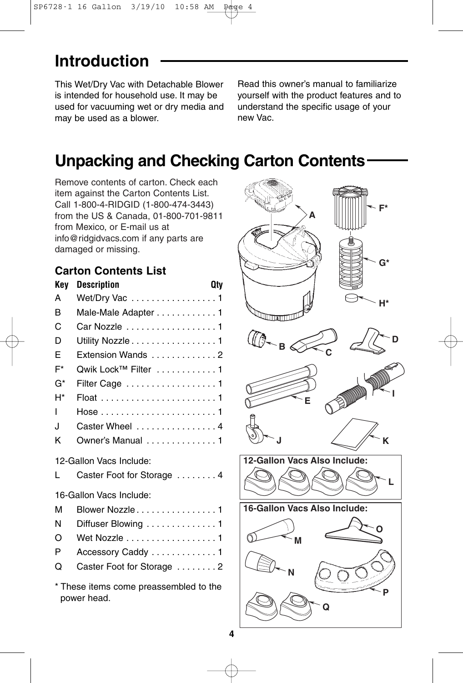## **Introduction**

This Wet/Dry Vac with Detachable Blower is intended for household use. It may be used for vacuuming wet or dry media and may be used as a blower.

Read this owner's manual to familiarize yourself with the product features and to understand the specific usage of your new Vac.

## **Unpacking and Checking Carton Contents**

Remove contents of carton. Check each item against the Carton Contents List. Call 1-800-4-RIDGID (1-800-474-3443) from the US & Canada, 01-800-701-9811 from Mexico, or E-mail us at info@ridgidvacs.com if any parts are damaged or missing.

### **Carton Contents List**

| <b>Key</b> | <b>Description</b>                                    | <b>Qty</b> |
|------------|-------------------------------------------------------|------------|
| A          | Wet/Dry Vac 1                                         |            |
| B          | Male-Male Adapter 1                                   |            |
| C          | Car Nozzle 1                                          |            |
| D          | Utility Nozzle 1                                      |            |
| E          | Extension Wands 2                                     |            |
| F*         | Qwik Lock™ Filter 1                                   |            |
| G*         | Filter Cage 1                                         |            |
| H*         |                                                       |            |
| ı          |                                                       |            |
| J.         | Caster Wheel  4                                       |            |
| κ          | Owner's Manual 1                                      |            |
|            | 12-Gallon Vacs Include:                               |            |
| L          | Caster Foot for Storage 4                             |            |
|            | 16-Gallon Vacs Include:                               |            |
| М          | Blower Nozzle 1                                       |            |
| N          | Diffuser Blowing 1                                    |            |
| O          | Wet Nozzle 1                                          |            |
| P          | Accessory Caddy 1                                     |            |
| O          | Caster Foot for Storage  2                            |            |
|            | * These items come preassembled to the<br>power head. |            |

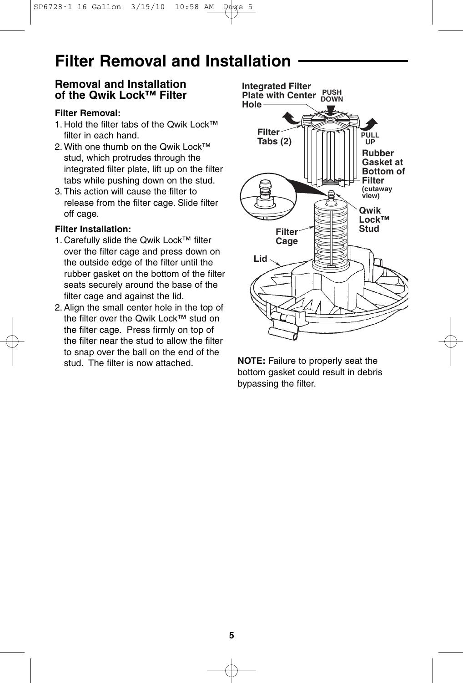### **Filter Removal and Installation**

#### **Removal and Installation of the Qwik Lock™ Filter**

#### **Filter Removal:**

- 1. Hold the filter tabs of the Qwik Lock™ filter in each hand.
- 2. With one thumb on the Qwik Lock™ stud, which protrudes through the integrated filter plate, lift up on the filter tabs while pushing down on the stud.
- 3. This action will cause the filter to release from the filter cage. Slide filter off cage.

#### **Filter Installation:**

- 1. Carefully slide the Qwik Lock™ filter over the filter cage and press down on the outside edge of the filter until the rubber gasket on the bottom of the filter seats securely around the base of the filter cage and against the lid.
- 2.Align the small center hole in the top of the filter over the Qwik Lock™ stud on the filter cage. Press firmly on top of the filter near the stud to allow the filter to snap over the ball on the end of the stud. The filter is now attached.



**NOTE:** Failure to properly seat the bottom gasket could result in debris bypassing the filter.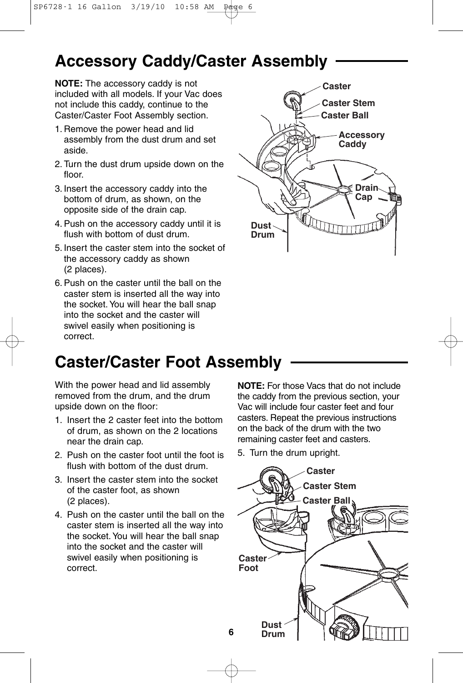### **Accessory Caddy/Caster Assembly**

**NOTE:** The accessory caddy is not included with all models. If your Vac does not include this caddy, continue to the Caster/Caster Foot Assembly section.

- 1. Remove the power head and lid assembly from the dust drum and set aside.
- 2. Turn the dust drum upside down on the floor.
- 3. Insert the accessory caddy into the bottom of drum, as shown, on the opposite side of the drain cap.
- 4.Push on the accessory caddy until it is flush with bottom of dust drum.
- 5. Insert the caster stem into the socket of the accessory caddy as shown (2 places).
- 6. Push on the caster until the ball on the caster stem is inserted all the way into the socket.You will hear the ball snap into the socket and the caster will swivel easily when positioning is correct.



### **Caster/Caster Foot Assembly**

With the power head and lid assembly removed from the drum, and the drum upside down on the floor:

- 1. Insert the 2 caster feet into the bottom of drum, as shown on the 2 locations near the drain cap.
- 2. Push on the caster foot until the foot is flush with bottom of the dust drum.
- 3. Insert the caster stem into the socket of the caster foot, as shown (2 places).
- 4. Push on the caster until the ball on the caster stem is inserted all the way into the socket. You will hear the ball snap into the socket and the caster will swivel easily when positioning is correct.

**NOTE:** For those Vacs that do not include the caddy from the previous section, your Vac will include four caster feet and four casters. Repeat the previous instructions on the back of the drum with the two remaining caster feet and casters.

5. Turn the drum upright.

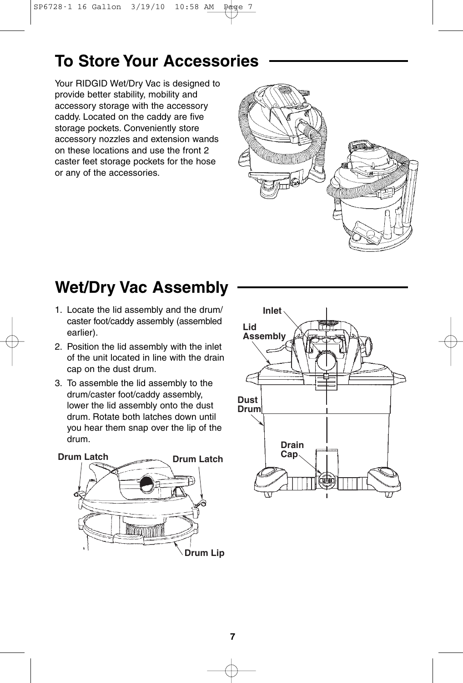## **To Store Your Accessories**

Your RIDGID Wet/Dry Vac is designed to provide better stability, mobility and accessory storage with the accessory caddy. Located on the caddy are five storage pockets. Conveniently store accessory nozzles and extension wands on these locations and use the front 2 caster feet storage pockets for the hose or any of the accessories.



## **Wet/Dry Vac Assembly**

- 1. Locate the lid assembly and the drum/ caster foot/caddy assembly (assembled earlier).
- 2. Position the lid assembly with the inlet of the unit located in line with the drain cap on the dust drum.
- 3. To assemble the lid assembly to the drum/caster foot/caddy assembly, lower the lid assembly onto the dust drum. Rotate both latches down until you hear them snap over the lip of the drum.



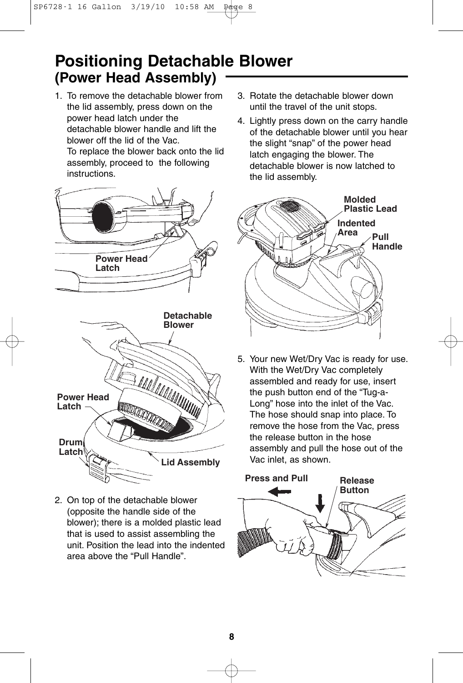### **Positioning Detachable Blower (Power Head Assembly)**

1. To remove the detachable blower from the lid assembly, press down on the power head latch under the detachable blower handle and lift the blower off the lid of the Vac. To replace the blower back onto the lid assembly, proceed to the following

instructions.



- **Power Head**  MATHALIAN **Latch Drum Latch Lid Assembly**
- 2. On top of the detachable blower (opposite the handle side of the blower); there is a molded plastic lead that is used to assist assembling the unit. Position the lead into the indented area above the "Pull Handle".
- 3. Rotate the detachable blower down until the travel of the unit stops.
- 4. Lightly press down on the carry handle of the detachable blower until you hear the slight "snap" of the power head latch engaging the blower. The detachable blower is now latched to the lid assembly.



5. Your new Wet/Dry Vac is ready for use. With the Wet/Dry Vac completely assembled and ready for use, insert the push button end of the "Tug-a-Long" hose into the inlet of the Vac. The hose should snap into place. To remove the hose from the Vac, press the release button in the hose assembly and pull the hose out of the Vac inlet, as shown.

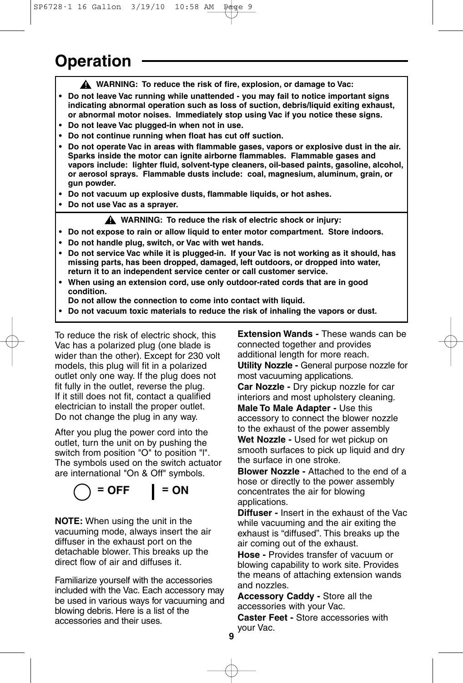### **Operation**

**WARNING: To reduce the risk of fire, explosion, or damage to Vac: !**

- **Do not leave Vac running while unattended you may fail to notice important signs indicating abnormal operation such as loss of suction, debris/liquid exiting exhaust, or abnormal motor noises. Immediately stop using Vac if you notice these signs.**
- **Do not leave Vac plugged-in when not in use.**
- **Do not continue running when float has cut off suction.**
- **Do not operate Vac in areas with flammable gases, vapors or explosive dust in the air. Sparks inside the motor can ignite airborne flammables. Flammable gases and vapors include: lighter fluid, solvent-type cleaners, oil-based paints, gasoline, alcohol, or aerosol sprays. Flammable dusts include: coal, magnesium, aluminum, grain, or gun powder.**
- **Do not vacuum up explosive dusts, flammable liquids, or hot ashes.**
- **Do not use Vac as a sprayer.**

**WARNING: To reduce the risk of electric shock or injury: !**

- **Do not expose to rain or allow liquid to enter motor compartment. Store indoors.**
- **Do not handle plug, switch, or Vac with wet hands.**
- **Do not service Vac while it is plugged-in. If your Vac is not working as it should, has missing parts, has been dropped, damaged, left outdoors, or dropped into water, return it to an independent service center or call customer service.**
- **• When using an extension cord, use only outdoor-rated cords that are in good condition.**
- **Do not allow the connection to come into contact with liquid.**
- **• Do not vacuum toxic materials to reduce the risk of inhaling the vapors or dust.**

To reduce the risk of electric shock, this Vac has a polarized plug (one blade is wider than the other). Except for 230 volt models, this plug will fit in a polarized outlet only one way. If the plug does not fit fully in the outlet, reverse the plug. If it still does not fit, contact a qualified electrician to install the proper outlet. Do not change the plug in any way.

After you plug the power cord into the outlet, turn the unit on by pushing the switch from position "O" to position "l". The symbols used on the switch actuator are international "On & Off" symbols.

$$
\bigcirc = \mathsf{OFF} \qquad \qquad \mathsf{I} = \mathsf{ON}
$$

**NOTE:** When using the unit in the vacuuming mode, always insert the air diffuser in the exhaust port on the detachable blower. This breaks up the direct flow of air and diffuses it.

Familiarize yourself with the accessories included with the Vac. Each accessory may be used in various ways for vacuuming and blowing debris. Here is a list of the accessories and their uses.

**Extension Wands -** These wands can be connected together and provides additional length for more reach.

**Utility Nozzle -** General purpose nozzle for most vacuuming applications.

**Car Nozzle -** Dry pickup nozzle for car interiors and most upholstery cleaning.

**Male To Male Adapter -** Use this accessory to connect the blower nozzle to the exhaust of the power assembly

**Wet Nozzle -** Used for wet pickup on smooth surfaces to pick up liquid and dry the surface in one stroke.

**Blower Nozzle -** Attached to the end of a hose or directly to the power assembly concentrates the air for blowing applications.

**Diffuser -** Insert in the exhaust of the Vac while vacuuming and the air exiting the exhaust is "diffused". This breaks up the air coming out of the exhaust.

**Hose -** Provides transfer of vacuum or blowing capability to work site. Provides the means of attaching extension wands and nozzles.

**Accessory Caddy -** Store all the accessories with your Vac.

**Caster Feet -** Store accessories with your Vac.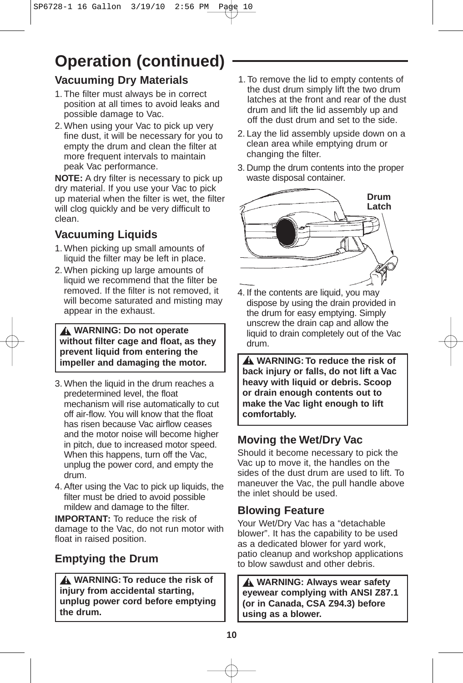# **Operation (continued)**

### **Vacuuming Dry Materials**

- 1. The filter must always be in correct position at all times to avoid leaks and possible damage to Vac.
- 2. When using your Vac to pick up very fine dust, it will be necessary for you to empty the drum and clean the filter at more frequent intervals to maintain peak Vac performance.

**NOTE:** A dry filter is necessary to pick up dry material. If you use your Vac to pick up material when the filter is wet, the filter will clog quickly and be very difficult to clean.

### **Vacuuming Liquids**

- 1. When picking up small amounts of liquid the filter may be left in place.
- 2. When picking up large amounts of liquid we recommend that the filter be removed. If the filter is not removed, it will become saturated and misting may appear in the exhaust.

**WARNING: Do not operate ! without filter cage and float, as they prevent liquid from entering the impeller and damaging the motor.**

- 3. When the liquid in the drum reaches a predetermined level, the float mechanism will rise automatically to cut off air-flow. You will know that the float has risen because Vac airflow ceases and the motor noise will become higher in pitch, due to increased motor speed. When this happens, turn off the Vac, unplug the power cord, and empty the drum.
- 4.After using the Vac to pick up liquids, the filter must be dried to avoid possible mildew and damage to the filter.

**IMPORTANT:** To reduce the risk of damage to the Vac, do not run motor with float in raised position.

### **Emptying the Drum**

**WARNING: To reduce the risk of ! injury from accidental starting, unplug power cord before emptying the drum.**

- 1. To remove the lid to empty contents of the dust drum simply lift the two drum latches at the front and rear of the dust drum and lift the lid assembly up and off the dust drum and set to the side.
- 2. Lay the lid assembly upside down on a clean area while emptying drum or changing the filter.
- 3. Dump the drum contents into the proper waste disposal container.



4. If the contents are liquid, you may dispose by using the drain provided in the drum for easy emptying. Simply unscrew the drain cap and allow the liquid to drain completely out of the Vac drum.

**WARNING: To reduce the risk of ! back injury or falls, do not lift a Vac heavy with liquid or debris. Scoop or drain enough contents out to make the Vac light enough to lift comfortably.**

### **Moving the Wet/Dry Vac**

Should it become necessary to pick the Vac up to move it, the handles on the sides of the dust drum are used to lift. To maneuver the Vac, the pull handle above the inlet should be used.

### **Blowing Feature**

Your Wet/Dry Vac has a "detachable blower". It has the capability to be used as a dedicated blower for yard work, patio cleanup and workshop applications to blow sawdust and other debris.

**WARNING: Always wear safety ! eyewear complying with ANSI Z87.1 (or in Canada, CSA Z94.3) before using as a blower.**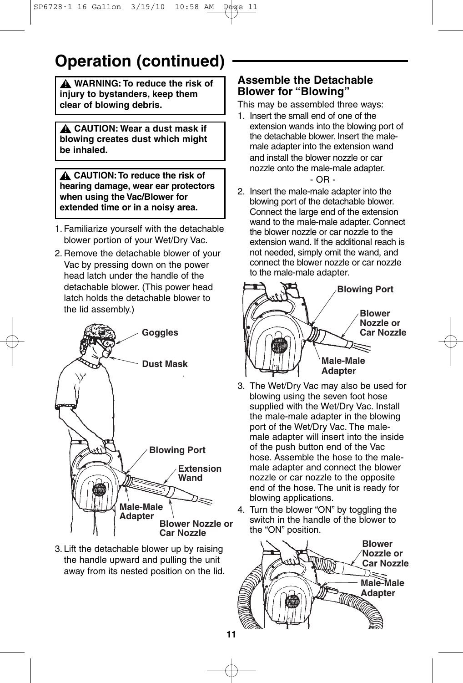## **Operation (continued)**

**WARNING: To reduce the risk of ! injury to bystanders, keep them clear of blowing debris.**

**CAUTION: Wear a dust mask if ! blowing creates dust which might be inhaled.**

**CAUTION:To reduce the risk of ! hearing damage, wear ear protectors when using the Vac/Blower for extended time or in a noisy area.**

- 1. Familiarize yourself with the detachable blower portion of your Wet/Dry Vac.
- 2. Remove the detachable blower of your Vac by pressing down on the power head latch under the handle of the detachable blower. (This power head latch holds the detachable blower to the lid assembly.)



3. Lift the detachable blower up by raising the handle upward and pulling the unit away from its nested position on the lid.

#### **Assemble the Detachable Blower for "Blowing"**

This may be assembled three ways:

- 1. Insert the small end of one of the extension wands into the blowing port of the detachable blower. Insert the malemale adapter into the extension wand and install the blower nozzle or car nozzle onto the male-male adapter. - OR -
- 2. Insert the male-male adapter into the blowing port of the detachable blower. Connect the large end of the extension wand to the male-male adapter. Connect the blower nozzle or car nozzle to the extension wand. If the additional reach is not needed, simply omit the wand, and connect the blower nozzle or car nozzle to the male-male adapter.



- 3. The Wet/Dry Vac may also be used for blowing using the seven foot hose supplied with the Wet/Dry Vac. Install the male-male adapter in the blowing port of the Wet/Dry Vac. The malemale adapter will insert into the inside of the push button end of the Vac hose. Assemble the hose to the malemale adapter and connect the blower nozzle or car nozzle to the opposite end of the hose. The unit is ready for blowing applications.
- 4. Turn the blower "ON" by toggling the switch in the handle of the blower to the "ON" position.

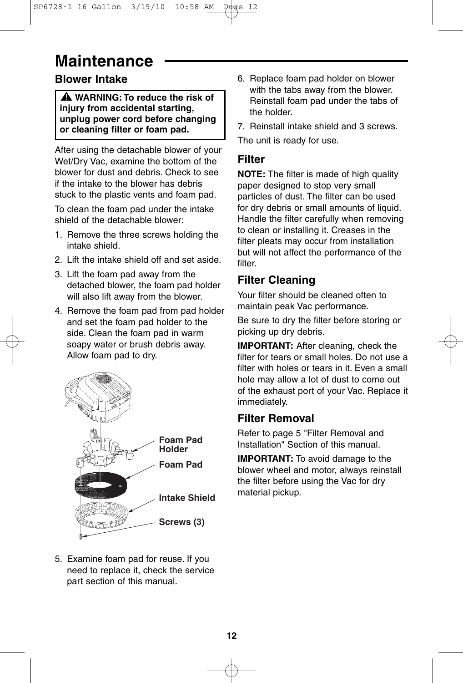## **Maintenance**

### **Blower Intake**

**WARNING: To reduce the risk of ! injury from accidental starting, unplug power cord before changing or cleaning filter or foam pad.**

After using the detachable blower of your Wet/Dry Vac, examine the bottom of the blower for dust and debris. Check to see if the intake to the blower has debris stuck to the plastic vents and foam pad.

To clean the foam pad under the intake shield of the detachable blower:

- 1. Remove the three screws holding the intake shield.
- 2. Lift the intake shield off and set aside.
- 3. Lift the foam pad away from the detached blower, the foam pad holder will also lift away from the blower.
- 4. Remove the foam pad from pad holder and set the foam pad holder to the side. Clean the foam pad in warm soapy water or brush debris away. Allow foam pad to dry.



5. Examine foam pad for reuse. If you need to replace it, check the service part section of this manual.

- 6. Replace foam pad holder on blower with the tabs away from the blower. Reinstall foam pad under the tabs of the holder.
- 7. Reinstall intake shield and 3 screws.

The unit is ready for use.

### **Filter**

**NOTE:** The filter is made of high quality paper designed to stop very small particles of dust. The filter can be used for dry debris or small amounts of liquid. Handle the filter carefully when removing to clean or installing it. Creases in the filter pleats may occur from installation but will not affect the performance of the filter.

### **Filter Cleaning**

Your filter should be cleaned often to maintain peak Vac performance.

Be sure to dry the filter before storing or picking up dry debris.

**IMPORTANT:** After cleaning, check the filter for tears or small holes. Do not use a filter with holes or tears in it. Even a small hole may allow a lot of dust to come out of the exhaust port of your Vac. Replace it immediately.

### **Filter Removal**

Refer to page 5 "Filter Removal and Installation" Section of this manual.

**IMPORTANT:** To avoid damage to the blower wheel and motor, always reinstall the filter before using the Vac for dry material pickup.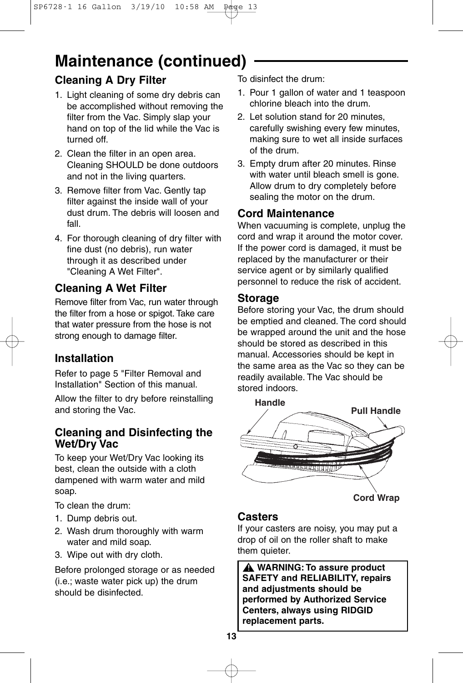## **Maintenance (continued)**

### **Cleaning A Dry Filter**

- 1. Light cleaning of some dry debris can be accomplished without removing the filter from the Vac. Simply slap your hand on top of the lid while the Vac is turned off.
- 2. Clean the filter in an open area. Cleaning SHOULD be done outdoors and not in the living quarters.
- 3. Remove filter from Vac. Gently tap filter against the inside wall of your dust drum. The debris will loosen and fall.
- 4. For thorough cleaning of dry filter with fine dust (no debris), run water through it as described under "Cleaning A Wet Filter".

### **Cleaning A Wet Filter**

Remove filter from Vac, run water through the filter from a hose or spigot. Take care that water pressure from the hose is not strong enough to damage filter.

### **Installation**

Refer to page 5 "Filter Removal and Installation" Section of this manual.

Allow the filter to dry before reinstalling and storing the Vac.

### **Cleaning and Disinfecting the Wet/Dry Vac**

To keep your Wet/Dry Vac looking its best, clean the outside with a cloth dampened with warm water and mild soap.

To clean the drum:

- 1. Dump debris out.
- 2. Wash drum thoroughly with warm water and mild soap.
- 3. Wipe out with dry cloth.

Before prolonged storage or as needed (i.e.; waste water pick up) the drum should be disinfected.

To disinfect the drum:

- 1. Pour 1 gallon of water and 1 teaspoon chlorine bleach into the drum.
- 2. Let solution stand for 20 minutes, carefully swishing every few minutes, making sure to wet all inside surfaces of the drum.
- 3. Empty drum after 20 minutes. Rinse with water until bleach smell is gone. Allow drum to dry completely before sealing the motor on the drum.

### **Cord Maintenance**

When vacuuming is complete, unplug the cord and wrap it around the motor cover. If the power cord is damaged, it must be replaced by the manufacturer or their service agent or by similarly qualified personnel to reduce the risk of accident.

#### **Storage**

Before storing your Vac, the drum should be emptied and cleaned. The cord should be wrapped around the unit and the hose should be stored as described in this manual. Accessories should be kept in the same area as the Vac so they can be readily available. The Vac should be stored indoors.



### **Casters**

If your casters are noisy, you may put a drop of oil on the roller shaft to make them quieter.

**WARNING: To assure product ! SAFETY and RELIABILITY, repairs and adjustments should be performed by Authorized Service Centers, always using RIDGID replacement parts.**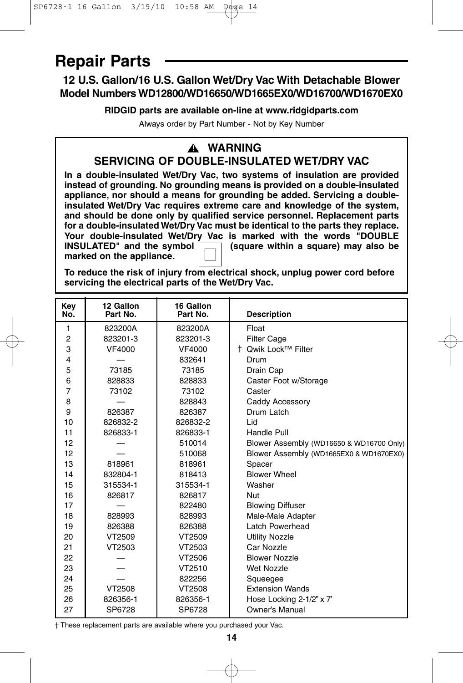## **Repair Parts**

### **12 U.S. Gallon/16 U.S. Gallon Wet/Dry Vac With Detachable Blower Model Numbers WD12800/WD16650/WD1665EX0/WD16700/WD1670EX0**

**RIDGID parts are available on-line at www.ridgidparts.com**

Always order by Part Number - Not by Key Number

#### **WARNING ! SERVICING OF DOUBLE-INSULATED WET/DRY VAC**

**In a double-insulated Wet/Dry Vac, two systems of insulation are provided instead of grounding. No grounding means is provided on a double-insulated appliance, nor should a means for grounding be added. Servicing a doubleinsulated Wet/Dry Vac requires extreme care and knowledge of the system, and should be done only by qualified service personnel. Replacement parts for a double-insulated Wet/Dry Vac must be identical to the parts they replace. Your double-insulated Wet/Dry Vac is marked with the words "DOUBLE<br>INSULATED" and the symbol <u>[11]</u> (square within a square) may also be Insulate within a square) may also be marked on the appliance.**

**To reduce the risk of injury from electrical shock, unplug power cord before servicing the electrical parts of the Wet/Dry Vac.**

| Key<br>No.     | 12 Gallon<br>Part No. | 16 Gallon<br>Part No. | <b>Description</b>                       |
|----------------|-----------------------|-----------------------|------------------------------------------|
| 1              | 823200A               | 823200A               | Float                                    |
| $\overline{c}$ | 823201-3              | 823201-3              | <b>Filter Cage</b>                       |
| 3              | VF4000                | VF4000                | † Owik Lock™ Filter                      |
| 4              |                       | 832641                | Drum                                     |
| 5              | 73185                 | 73185                 | Drain Cap                                |
| 6              | 828833                | 828833                | Caster Foot w/Storage                    |
| $\overline{7}$ | 73102                 | 73102                 | Caster                                   |
| 8              |                       | 828843                | Caddy Accessory                          |
| 9              | 826387                | 826387                | Drum Latch                               |
| 10             | 826832-2              | 826832-2              | Lid                                      |
| 11             | 826833-1              | 826833-1              | Handle Pull                              |
| 12             |                       | 510014                | Blower Assembly (WD16650 & WD16700 Only) |
| 12             |                       | 510068                | Blower Assembly (WD1665EX0 & WD1670EX0)  |
| 13             | 818961                | 818961                | Spacer                                   |
| 14             | 832804-1              | 818413                | <b>Blower Wheel</b>                      |
| 15             | 315534-1              | 315534-1              | Washer                                   |
| 16             | 826817                | 826817                | Nut                                      |
| 17             |                       | 822480                | <b>Blowing Diffuser</b>                  |
| 18             | 828993                | 828993                | Male-Male Adapter                        |
| 19             | 826388                | 826388                | Latch Powerhead                          |
| 20             | VT2509                | VT2509                | <b>Utility Nozzle</b>                    |
| 21             | VT2503                | VT2503                | Car Nozzle                               |
| 22             |                       | VT2506                | <b>Blower Nozzle</b>                     |
| 23             |                       | VT2510                | <b>Wet Nozzle</b>                        |
| 24             |                       | 822256                | Squeegee                                 |
| 25             | VT2508                | VT2508                | <b>Extension Wands</b>                   |
| 26             | 826356-1              | 826356-1              | Hose Locking 2-1/2" x 7"                 |
| 27             | SP6728                | SP6728                | Owner's Manual                           |

† These replacement parts are available where you purchased your Vac.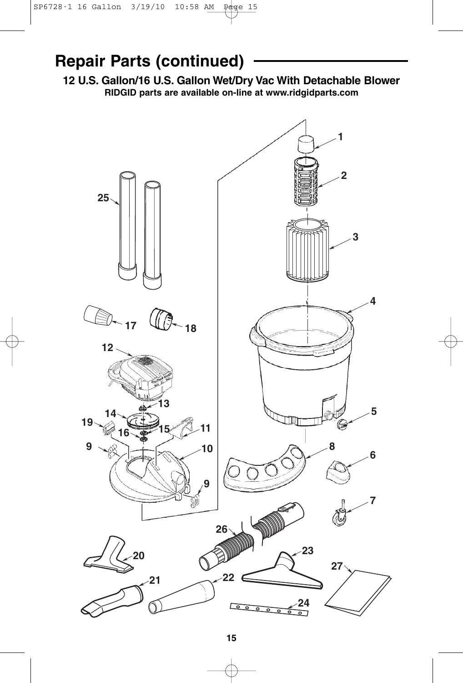### **Repair Parts (continued)**

**12 U.S. Gallon/16 U.S. Gallon Wet/Dry Vac With Detachable Blower RIDGID parts are available on-line at www.ridgidparts.com**

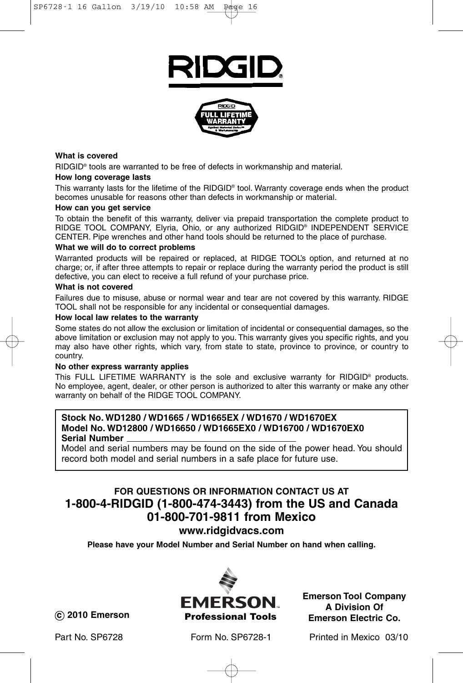



#### **What is covered**

RIDGID® tools are warranted to be free of defects in workmanship and material.

#### **How long coverage lasts**

This warranty lasts for the lifetime of the RIDGID® tool. Warranty coverage ends when the product becomes unusable for reasons other than defects in workmanship or material.

#### **How can you get service**

To obtain the benefit of this warranty, deliver via prepaid transportation the complete product to RIDGE TOOL COMPANY, Elyria, Ohio, or any authorized RIDGID® INDEPENDENT SERVICE CENTER. Pipe wrenches and other hand tools should be returned to the place of purchase.

#### **What we will do to correct problems**

Warranted products will be repaired or replaced, at RIDGE TOOL's option, and returned at no charge; or, if after three attempts to repair or replace during the warranty period the product is still defective, you can elect to receive a full refund of your purchase price.

#### **What is not covered**

Failures due to misuse, abuse or normal wear and tear are not covered by this warranty. RIDGE TOOL shall not be responsible for any incidental or consequential damages.

#### **How local law relates to the warranty**

Some states do not allow the exclusion or limitation of incidental or consequential damages, so the above limitation or exclusion may not apply to you. This warranty gives you specific rights, and you may also have other rights, which vary, from state to state, province to province, or country to country.

#### **No other express warranty applies**

This FULL LIFETIME WARRANTY is the sole and exclusive warranty for RIDGID® products. No employee, agent, dealer, or other person is authorized to alter this warranty or make any other warranty on behalf of the RIDGE TOOL COMPANY.

#### **Stock No. WD1280 / WD1665 / WD1665EX / WD1670 / WD1670EX Model No. WD12800 / WD16650 / WD1665EX0 / WD16700 / WD1670EX0 Serial Number**

Model and serial numbers may be found on the side of the power head. You should record both model and serial numbers in a safe place for future use.

### **FOR QUESTIONS OR INFORMATION CONTACT US AT 1-800-4-RIDGID (1-800-474-3443) from the US and Canada 01-800-701-9811 from Mexico**

**www.ridgidvacs.com**

**Please have your Model Number and Serial Number on hand when calling.**



**Emerson Tool Company A Division Of Emerson Electric Co.**

**c 2010 Emerson**

Part No. SP6728 Form No. SP6728-1 Printed in Mexico 03/10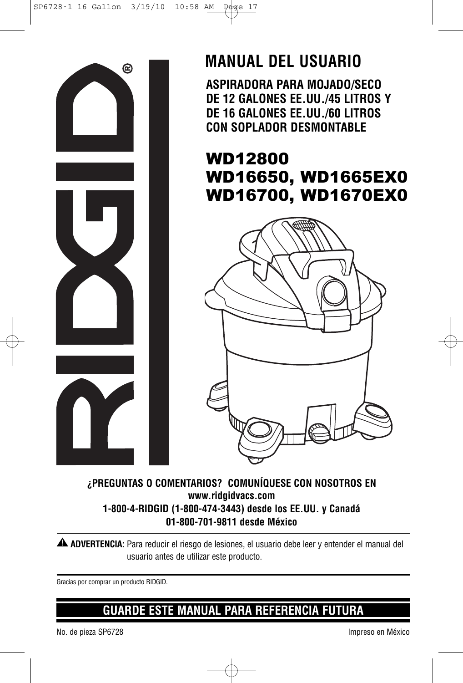

## **MANUAL DEL USUARIO**

**ASPIRADORA PARA MOJADO/SECO DE 12 GALONES EE.UU./45 LITROS Y DE 16 GALONES EE.UU./60 LITROS CON SOPLADOR DESMONTABLE**

### WD12800 WD16650, WD1665EX0 WD16700, WD1670EX0



#### **¿PREGUNTAS O COMENTARIOS? COMUNÍQUESE CON NOSOTROS EN www.ridgidvacs.com 1-800-4-RIDGID (1-800-474-3443) desde los EE.UU. y Canadá 01-800-701-9811 desde México**

**ADVERTENCIA:** Para reducir el riesgo de lesiones, el usuario debe leer y entender el manual del **!** usuario antes de utilizar este producto.

Gracias por comprar un producto RIDGID.

### **GUARDE ESTE MANUAL PARA REFERENCIA FUTURA**

No. de pieza SP6728 Impreso en México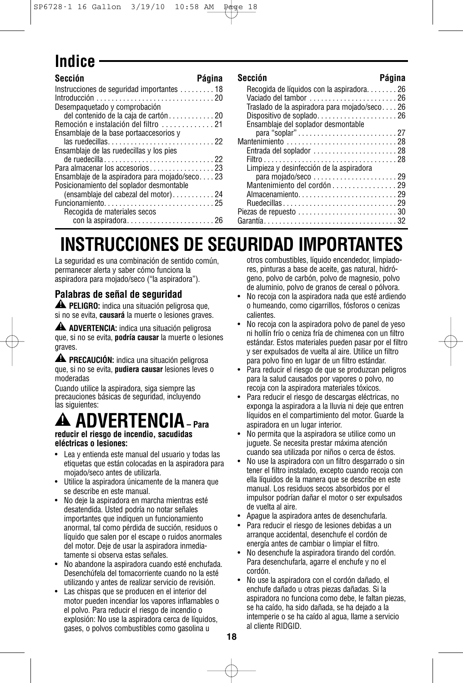## **Indice**

| Sección                                         | Página | Sección                                      | Página |
|-------------------------------------------------|--------|----------------------------------------------|--------|
| Instrucciones de seguridad importantes 18       |        | Recogida de líquidos con la aspiradora26     |        |
|                                                 |        | Vaciado del tambor 26                        |        |
| Desempaquetado y comprobación                   |        | Traslado de la aspiradora para mojado/seco26 |        |
| del contenido de la caja de cartón20            |        |                                              |        |
| Remoción e instalación del filtro 21            |        | Ensamblaje del soplador desmontable          |        |
| Ensamblaje de la base porta accesorios y        |        |                                              |        |
|                                                 |        |                                              |        |
| Ensamblaje de las ruedecillas y los pies        |        |                                              |        |
|                                                 |        |                                              |        |
|                                                 |        | Limpieza y desinfección de la aspiradora     |        |
| Ensamblaje de la aspiradora para mojado/seco 23 |        |                                              |        |
| Posicionamiento del soplador desmontable        |        | Mantenimiento del cordón 29                  |        |
| (ensamblaje del cabezal del motor)24            |        |                                              |        |
|                                                 |        |                                              |        |
| Recogida de materiales secos                    |        | Piezas de repuesto 30                        |        |
|                                                 |        |                                              |        |

|--|--|

| Recogida de líquidos con la aspiradora26                                        |  |
|---------------------------------------------------------------------------------|--|
|                                                                                 |  |
| Traslado de la aspiradora para mojado/seco26                                    |  |
| Dispositivo de soplado26                                                        |  |
| Ensamblaje del soplador desmontable                                             |  |
|                                                                                 |  |
|                                                                                 |  |
| Entrada del soplador $\ldots \ldots \ldots \ldots \ldots \ldots 28$             |  |
|                                                                                 |  |
| Limpieza y desinfección de la aspiradora                                        |  |
|                                                                                 |  |
| Mantenimiento del cordón 29                                                     |  |
|                                                                                 |  |
| Almacenamiento29                                                                |  |
|                                                                                 |  |
| Piezas de repuesto $\ldots \ldots \ldots \ldots \ldots \ldots \ldots \ldots 30$ |  |
|                                                                                 |  |
|                                                                                 |  |

# **INSTRUCCIONES DE SEGURIDAD IMPORTANTES**

La seguridad es una combinación de sentido común, permanecer alerta y saber cómo funciona la aspiradora para mojado/seco ("la aspiradora").

#### **Palabras de señal de seguridad**

**PELIGRO:** indica una situación peligrosa que, **!** si no se evita, **causará** la muerte o lesiones graves.

**ADVERTENCIA:** indica una situación peligrosa **!** que, si no se evita, **podría causar** la muerte o lesiones graves.

**PRECAUCIÓN:** indica una situación peligrosa **!** que, si no se evita, **pudiera causar** lesiones leves o moderadas

Cuando utilice la aspiradora, siga siempre las precauciones básicas de seguridad, incluyendo las siguientes:

#### **ADVERTENCIA– Para reducir el riesgo de incendio, sacudidas !**

**eléctricas o lesiones:**

- Lea y entienda este manual del usuario y todas las etiquetas que están colocadas en la aspiradora para mojado/seco antes de utilizarla.
- Utilice la aspiradora únicamente de la manera que se describe en este manual.
- No deje la aspiradora en marcha mientras esté desatendida. Usted podría no notar señales importantes que indiquen un funcionamiento anormal, tal como pérdida de succión, residuos o líquido que salen por el escape o ruidos anormales del motor. Deje de usar la aspiradora inmediatamente si observa estas señales.
- No abandone la aspiradora cuando esté enchufada. Desenchúfela del tomacorriente cuando no la esté utilizando y antes de realizar servicio de revisión.
- Las chispas que se producen en el interior del motor pueden incendiar los vapores inflamables o el polvo. Para reducir el riesgo de incendio o explosión: No use la aspiradora cerca de líquidos, gases, o polvos combustibles como gasolina u

otros combustibles, líquido encendedor, limpiadores, pinturas a base de aceite, gas natural, hidrógeno, polvo de carbón, polvo de magnesio, polvo de aluminio, polvo de granos de cereal o pólvora.

- No recoja con la aspiradora nada que esté ardiendo o humeando, como cigarrillos, fósforos o cenizas calientes.
- No recoja con la aspiradora polvo de panel de yeso ni hollín frío o ceniza fría de chimenea con un filtro estándar. Estos materiales pueden pasar por el filtro y ser expulsados de vuelta al aire. Utilice un filtro para polvo fino en lugar de un filtro estándar.
- Para reducir el riesgo de que se produzcan peligros para la salud causados por vapores o polvo, no recoja con la aspiradora materiales tóxicos.
- Para reducir el riesgo de descargas eléctricas, no exponga la aspiradora a la lluvia ni deje que entren líquidos en el compartimiento del motor. Guarde la aspiradora en un lugar interior.
- No permita que la aspiradora se utilice como un juguete. Se necesita prestar máxima atención cuando sea utilizada por niños o cerca de éstos.
- No use la aspiradora con un filtro desgarrado o sin tener el filtro instalado, excepto cuando recoja con ella líquidos de la manera que se describe en este manual. Los residuos secos absorbidos por el impulsor podrían dañar el motor o ser expulsados de vuelta al aire.
- Apague la aspiradora antes de desenchufarla.
- Para reducir el riesgo de lesiones debidas a un arranque accidental, desenchufe el cordón de energía antes de cambiar o limpiar el filtro.
- No desenchufe la aspiradora tirando del cordón. Para desenchufarla, agarre el enchufe y no el cordón.
- No use la aspiradora con el cordón dañado, el enchufe dañado u otras piezas dañadas. Si la aspiradora no funciona como debe, le faltan piezas, se ha caído, ha sido dañada, se ha dejado a la intemperie o se ha caído al agua, llame a servicio al cliente RIDGID.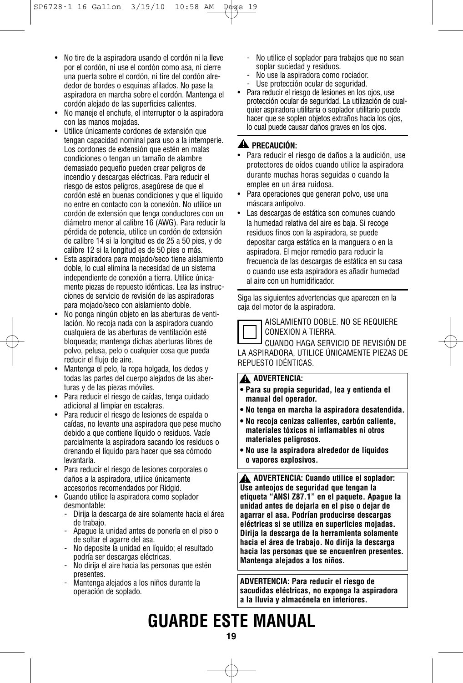- No tire de la aspiradora usando el cordón ni la lleve por el cordón, ni use el cordón como asa, ni cierre una puerta sobre el cordón, ni tire del cordón alrededor de bordes o esquinas afilados. No pase la aspiradora en marcha sobre el cordón. Mantenga el cordón alejado de las superficies calientes.
- No maneje el enchufe, el interruptor o la aspiradora con las manos mojadas.
- Utilice únicamente cordones de extensión que tengan capacidad nominal para uso a la intemperie. Los cordones de extensión que estén en malas condiciones o tengan un tamaño de alambre demasiado pequeño pueden crear peligros de incendio y descargas eléctricas. Para reducir el riesgo de estos peligros, asegúrese de que el cordón esté en buenas condiciones y que el líquido no entre en contacto con la conexión. No utilice un cordón de extensión que tenga conductores con un diámetro menor al calibre 16 (AWG). Para reducir la pérdida de potencia, utilice un cordón de extensión de calibre 14 si la longitud es de 25 a 50 pies, y de calibre 12 si la longitud es de 50 pies o más.
- Esta aspiradora para mojado/seco tiene aislamiento doble, lo cual elimina la necesidad de un sistema independiente de conexión a tierra. Utilice únicamente piezas de repuesto idénticas. Lea las instrucciones de servicio de revisión de las aspiradoras para mojado/seco con aislamiento doble.
- No ponga ningún objeto en las aberturas de ventilación. No recoja nada con la aspiradora cuando cualquiera de las aberturas de ventilación esté bloqueada; mantenga dichas aberturas libres de polvo, pelusa, pelo o cualquier cosa que pueda reducir el flujo de aire.
- Mantenga el pelo, la ropa holgada, los dedos y todas las partes del cuerpo alejados de las aberturas y de las piezas móviles.
- Para reducir el riesgo de caídas, tenga cuidado adicional al limpiar en escaleras.
- Para reducir el riesgo de lesiones de espalda o caídas, no levante una aspiradora que pese mucho debido a que contiene líquido o residuos. Vacíe parcialmente la aspiradora sacando los residuos o drenando el líquido para hacer que sea cómodo levantarla.
- Para reducir el riesgo de lesiones corporales o daños a la aspiradora, utilice únicamente accesorios recomendados por Ridgid.
- Cuando utilice la aspiradora como soplador desmontable:
	- Dirija la descarga de aire solamente hacia el área de trabajo.
	- Apague la unidad antes de ponerla en el piso o de soltar el agarre del asa.
	- No deposite la unidad en líquido; el resultado podría ser descargas eléctricas.
	- No dirija el aire hacia las personas que estén presentes.
	- Mantenga alejados a los niños durante la operación de soplado.
- No utilice el soplador para trabajos que no sean soplar suciedad y residuos.
- No use la aspiradora como rociador.
- Use protección ocular de seguridad.
- Para reducir el riesgo de lesiones en los ojos, use protección ocular de seguridad. La utilización de cualquier aspiradora utilitaria o soplador utilitario puede hacer que se soplen objetos extraños hacia los ojos, lo cual puede causar daños graves en los ojos.

#### **PRECAUCIÓN: !**

- Para reducir el riesgo de daños a la audición, use protectores de oídos cuando utilice la aspiradora durante muchas horas seguidas o cuando la emplee en un área ruidosa.
- Para operaciones que generan polvo, use una máscara antipolvo.
- Las descargas de estática son comunes cuando la humedad relativa del aire es baja. Si recoge residuos finos con la aspiradora, se puede depositar carga estática en la manguera o en la aspiradora. El mejor remedio para reducir la frecuencia de las descargas de estática en su casa o cuando use esta aspiradora es añadir humedad al aire con un humidificador.

Siga las siguientes advertencias que aparecen en la caja del motor de la aspiradora.



AISLAMIENTO DOBLE. NO SE REQUIERE CONEXION A TIERRA.

CUANDO HAGA SERVICIO DE REVISIÓN DE LA ASPIRADORA, UTILICE ÚNICAMENTE PIEZAS DE REPUESTO IDÉNTICAS.

#### **ADVERTENCIA: !**

- **• Para su propia seguridad, lea y entienda el manual del operador.**
- **• No tenga en marcha la aspiradora desatendida.**
- **• No recoja cenizas calientes, carbón caliente, materiales tóxicos ni inflamables ni otros materiales peligrosos.**
- **• No use la aspiradora alrededor de líquidos o vapores explosivos.**

**ADVERTENCIA: Cuando utilice el soplador: ! Use anteojos de seguridad que tengan la etiqueta "ANSI Z87.1" en el paquete. Apague la unidad antes de dejarla en el piso o dejar de agarrar el asa. Podrían producirse descargas eléctricas si se utiliza en superficies mojadas. Dirija la descarga de la herramienta solamente hacia el área de trabajo. No dirija la descarga hacia las personas que se encuentren presentes. Mantenga alejados a los niños.**

**ADVERTENCIA: Para reducir el riesgo de sacudidas eléctricas, no exponga la aspiradora a la lluvia y almacénela en interiores.**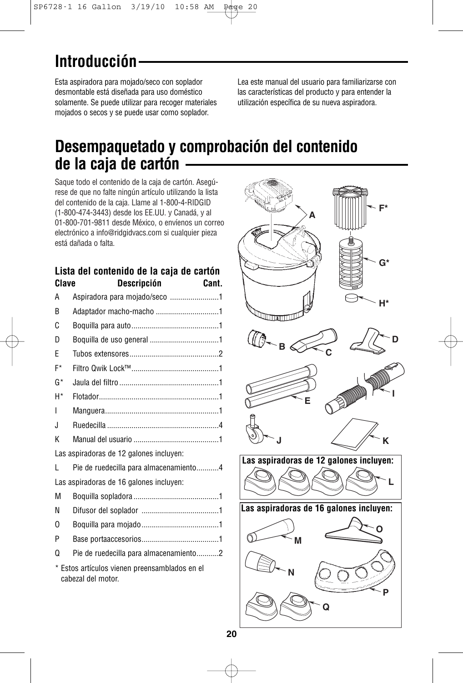## **Introducción**

Esta aspiradora para mojado/seco con soplador desmontable está diseñada para uso doméstico solamente. Se puede utilizar para recoger materiales mojados o secos y se puede usar como soplador.

Lea este manual del usuario para familiarizarse con las características del producto y para entender la utilización específica de su nueva aspiradora.

### **Desempaquetado y comprobación del contenido de la caja de cartón**

Saque todo el contenido de la caja de cartón. Asegúrese de que no falte ningún artículo utilizando la lista del contenido de la caja. Llame al 1-800-4-RIDGID (1-800-474-3443) desde los EE.UU. y Canadá, y al 01-800-701-9811 desde México, o envíenos un correo electrónico a info@ridgidvacs.com si cualquier pieza está dañada o falta.

### **Lista del contenido de la caja de cartón Clave Descripción Cant.**

| Aspiradora para mojado/seco 1<br>A                                  |  |
|---------------------------------------------------------------------|--|
| Adaptador macho-macho 1<br>B                                        |  |
| C                                                                   |  |
| D                                                                   |  |
| F                                                                   |  |
| F*                                                                  |  |
| G*                                                                  |  |
| H*                                                                  |  |
| I                                                                   |  |
| J.                                                                  |  |
| K                                                                   |  |
| Las aspiradoras de 12 galones incluyen:                             |  |
| Pie de ruedecilla para almacenamiento4<br>L                         |  |
| Las aspiradoras de 16 galones incluyen:                             |  |
| М                                                                   |  |
| N                                                                   |  |
| O                                                                   |  |
| P                                                                   |  |
| Pie de ruedecilla para almacenamiento2<br>Ω                         |  |
| * Estos artículos vienen preensamblados en el<br>cabezal del motor. |  |

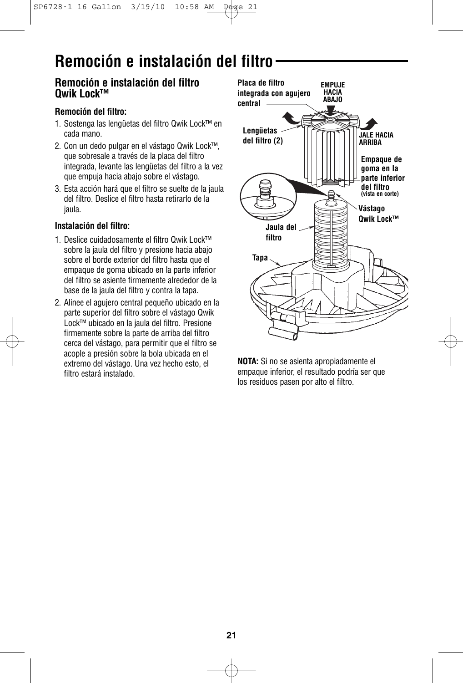## **Remoción e instalación del filtro**

#### **Remoción e instalación del filtro Qwik Lock™**

#### **Remoción del filtro:**

- 1. Sostenga las lengüetas del filtro Qwik Lock™ en cada mano.
- 2. Con un dedo pulgar en el vástago Qwik Lock™, que sobresale a través de la placa del filtro integrada, levante las lengüetas del filtro a la vez que empuja hacia abajo sobre el vástago.
- 3. Esta acción hará que el filtro se suelte de la jaula del filtro. Deslice el filtro hasta retirarlo de la jaula.

#### **Instalación del filtro:**

- 1. Deslice cuidadosamente el filtro Qwik Lock™ sobre la jaula del filtro y presione hacia abajo sobre el borde exterior del filtro hasta que el empaque de goma ubicado en la parte inferior del filtro se asiente firmemente alrededor de la base de la jaula del filtro y contra la tapa.
- 2. Alinee el agujero central pequeño ubicado en la parte superior del filtro sobre el vástago Qwik Lock™ ubicado en la jaula del filtro. Presione firmemente sobre la parte de arriba del filtro cerca del vástago, para permitir que el filtro se acople a presión sobre la bola ubicada en el extremo del vástago. Una vez hecho esto, el filtro estará instalado.



**NOTA:** Si no se asienta apropiadamente el empaque inferior, el resultado podría ser que los residuos pasen por alto el filtro.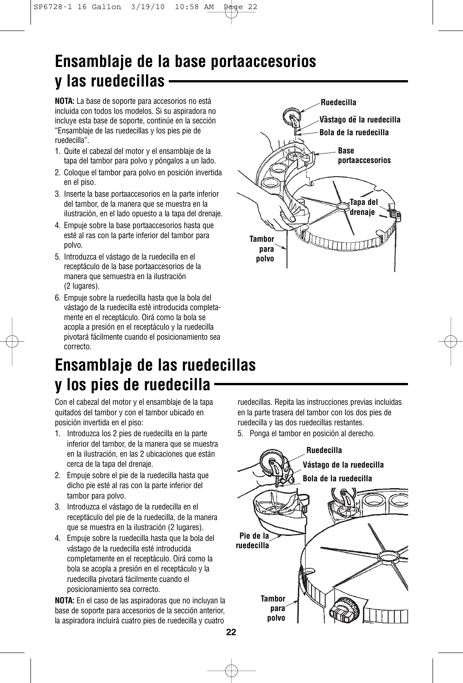## **Ensamblaje de la base portaaccesorios y las ruedecillas**

**NOTA:** La base de soporte para accesorios no está incluida con todos los modelos. Si su aspiradora no incluye esta base de soporte, continúe en la sección "Ensamblaje de las ruedecillas y los pies pie de ruedecilla".

- 1. Quite el cabezal del motor y el ensamblaje de la tapa del tambor para polvo y póngalos a un lado.
- 2. Coloque el tambor para polvo en posición invertida en el piso.
- 3. Inserte la base portaaccesorios en la parte inferior del tambor, de la manera que se muestra en la ilustración, en el lado opuesto a la tapa del drenaje.
- 4. Empuje sobre la base portaaccesorios hasta que esté al ras con la parte inferior del tambor para polvo.
- 5. Introduzca el vástago de la ruedecilla en el receptáculo de la base portaaccesorios de la manera que semuestra en la ilustración (2 lugares).
- 6. Empuje sobre la ruedecilla hasta que la bola del vástago de la ruedecilla esté introducida completamente en el receptáculo. Oirá como la bola se acopla a presión en el receptáculo y la ruedecilla pivotará fácilmente cuando el posicionamiento sea correcto.

### **Ensamblaje de las ruedecillas y los pies de ruedecilla**

Con el cabezal del motor y el ensamblaje de la tapa quitados del tambor y con el tambor ubicado en posición invertida en el piso:

- 1. Introduzca los 2 pies de ruedecilla en la parte inferior del tambor, de la manera que se muestra en la ilustración, en las 2 ubicaciones que están cerca de la tapa del drenaje.
- 2. Empuje sobre el pie de la ruedecilla hasta que dicho pie esté al ras con la parte inferior del tambor para polvo.
- 3. Introduzca el vástago de la ruedecilla en el receptáculo del pie de la ruedecilla, de la manera que se muestra en la ilustración (2 lugares).
- 4. Empuje sobre la ruedecilla hasta que la bola del vástago de la ruedecilla esté introducida completamente en el receptáculo. Oirá como la bola se acopla a presión en el receptáculo y la ruedecilla pivotará fácilmente cuando el posicionamiento sea correcto.

**NOTA:** En el caso de las aspiradoras que no incluyan la base de soporte para accesorios de la sección anterior, la aspiradora incluirá cuatro pies de ruedecilla y cuatro

ruedecillas. Repita las instrucciones previas incluidas en la parte trasera del tambor con los dos pies de ruedecilla y las dos ruedecillas restantes.

5. Ponga el tambor en posición al derecho.



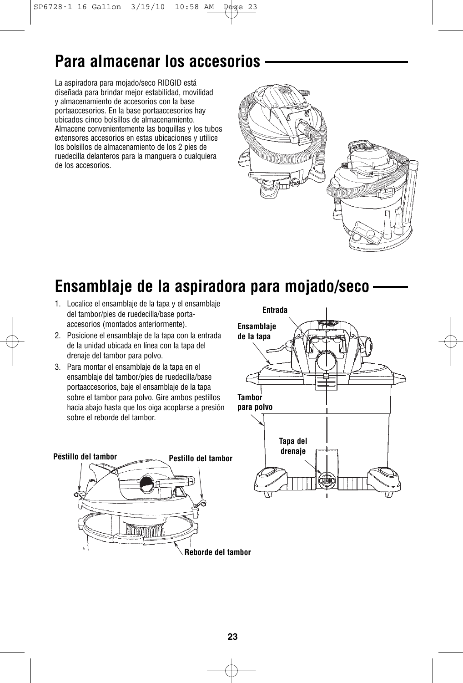## **Para almacenar los accesorios**

La aspiradora para mojado/seco RIDGID está diseñada para brindar mejor estabilidad, movilidad y almacenamiento de accesorios con la base portaaccesorios. En la base portaaccesorios hay ubicados cinco bolsillos de almacenamiento. Almacene convenientemente las boquillas y los tubos extensores accesorios en estas ubicaciones y utilice los bolsillos de almacenamiento de los 2 pies de ruedecilla delanteros para la manguera o cualquiera de los accesorios.



## **Ensamblaje de la aspiradora para mojado/seco**

- 1. Localice el ensamblaje de la tapa y el ensamblaje del tambor/pies de ruedecilla/base portaaccesorios (montados anteriormente).
- 2. Posicione el ensamblaje de la tapa con la entrada de la unidad ubicada en línea con la tapa del drenaje del tambor para polvo.
- 3. Para montar el ensamblaje de la tapa en el ensamblaje del tambor/pies de ruedecilla/base portaaccesorios, baje el ensamblaje de la tapa sobre el tambor para polvo. Gire ambos pestillos hacia abajo hasta que los oiga acoplarse a presión sobre el reborde del tambor.



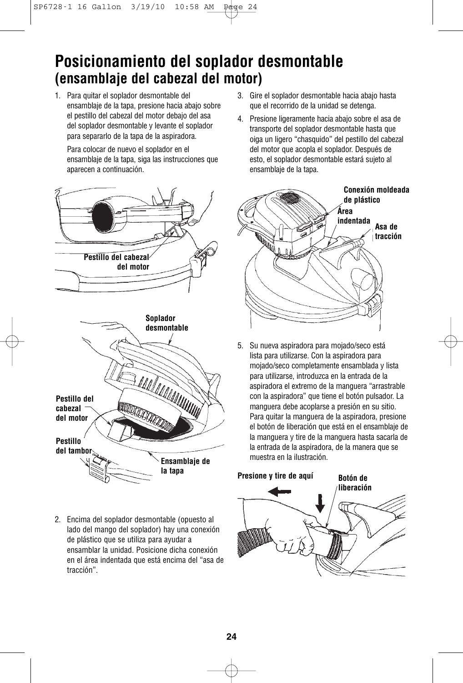### **Posicionamiento del soplador desmontable (ensamblaje del cabezal del motor)**

1. Para quitar el soplador desmontable del ensamblaje de la tapa, presione hacia abajo sobre el pestillo del cabezal del motor debajo del asa del soplador desmontable y levante el soplador para separarlo de la tapa de la aspiradora.

Para colocar de nuevo el soplador en el ensamblaje de la tapa, siga las instrucciones que aparecen a continuación.



2. Encima del soplador desmontable (opuesto al lado del mango del soplador) hay una conexión de plástico que se utiliza para ayudar a ensamblar la unidad. Posicione dicha conexión en el área indentada que está encima del "asa de tracción".

- 3. Gire el soplador desmontable hacia abajo hasta que el recorrido de la unidad se detenga.
- 4. Presione ligeramente hacia abajo sobre el asa de transporte del soplador desmontable hasta que oiga un ligero "chasquido" del pestillo del cabezal del motor que acopla el soplador. Después de esto, el soplador desmontable estará sujeto al ensamblaje de la tapa.



5. Su nueva aspiradora para mojado/seco está lista para utilizarse. Con la aspiradora para mojado/seco completamente ensamblada y lista para utilizarse, introduzca en la entrada de la aspiradora el extremo de la manguera "arrastrable con la aspiradora" que tiene el botón pulsador. La manguera debe acoplarse a presión en su sitio. Para quitar la manguera de la aspiradora, presione el botón de liberación que está en el ensamblaje de la manguera y tire de la manguera hasta sacarla de la entrada de la aspiradora, de la manera que se muestra en la ilustración.

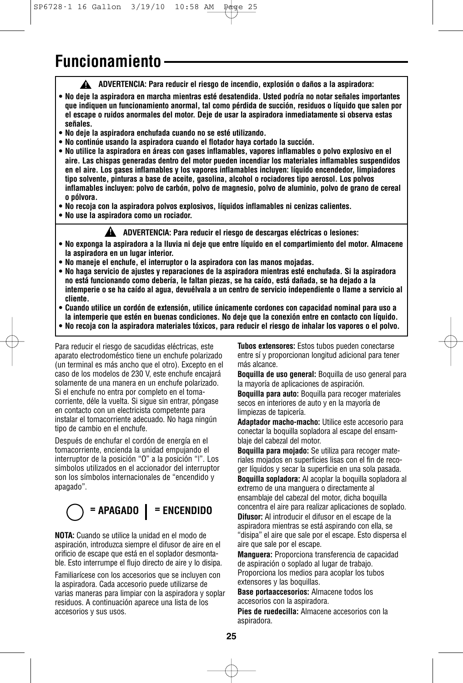### **Funcionamiento**

**ADVERTENCIA: Para reducir el riesgo de incendio, explosión o daños a la aspiradora: !**

- **No deje la aspiradora en marcha mientras esté desatendida. Usted podría no notar señales importantes que indiquen un funcionamiento anormal, tal como pérdida de succión, residuos o líquido que salen por el escape o ruidos anormales del motor. Deje de usar la aspiradora inmediatamente si observa estas señales.**
- **No deje la aspiradora enchufada cuando no se esté utilizando.**
- **No continúe usando la aspiradora cuando el flotador haya cortado la succión.**
- **No utilice la aspiradora en áreas con gases inflamables, vapores inflamables o polvo explosivo en el aire. Las chispas generadas dentro del motor pueden incendiar los materiales inflamables suspendidos en el aire. Los gases inflamables y los vapores inflamables incluyen: líquido encendedor, limpiadores tipo solvente, pinturas a base de aceite, gasolina, alcohol o rociadores tipo aerosol. Los polvos inflamables incluyen: polvo de carbón, polvo de magnesio, polvo de aluminio, polvo de grano de cereal o pólvora.**
- **No recoja con la aspiradora polvos explosivos, líquidos inflamables ni cenizas calientes.**
- **No use la aspiradora como un rociador.**

**ADVERTENCIA: Para reducir el riesgo de descargas eléctricas o lesiones: !**

- **No exponga la aspiradora a la lluvia ni deje que entre líquido en el compartimiento del motor. Almacene la aspiradora en un lugar interior.**
- **No maneje el enchufe, el interruptor o la aspiradora con las manos mojadas.**
- **No haga servicio de ajustes y reparaciones de la aspiradora mientras esté enchufada. Si la aspiradora no está funcionando como debería, le faltan piezas, se ha caído, está dañada, se ha dejado a la intemperie o se ha caído al agua, devuélvala a un centro de servicio independiente o llame a servicio al cliente.**
- **Cuando utilice un cordón de extensión, utilice únicamente cordones con capacidad nominal para uso a la intemperie que estén en buenas condiciones. No deje que la conexión entre en contacto con líquido.**
- **No recoja con la aspiradora materiales tóxicos, para reducir el riesgo de inhalar los vapores o el polvo.**

Para reducir el riesgo de sacudidas eléctricas, este aparato electrodoméstico tiene un enchufe polarizado (un terminal es más ancho que el otro). Excepto en el caso de los modelos de 230 V, este enchufe encajará solamente de una manera en un enchufe polarizado. Si el enchufe no entra por completo en el tomacorriente, déle la vuelta. Si sigue sin entrar, póngase en contacto con un electricista competente para instalar el tomacorriente adecuado. No haga ningún tipo de cambio en el enchufe.

Después de enchufar el cordón de energía en el tomacorriente, encienda la unidad empujando el interruptor de la posición "O" a la posición "|". Los símbolos utilizados en el accionador del interruptor son los símbolos internacionales de "encendido y apagado".

## **= APAGADO = ENCENDIDO**

**NOTA:** Cuando se utilice la unidad en el modo de aspiración, introduzca siempre el difusor de aire en el orificio de escape que está en el soplador desmontable. Esto interrumpe el flujo directo de aire y lo disipa.

Familiarícese con los accesorios que se incluyen con la aspiradora. Cada accesorio puede utilizarse de varias maneras para limpiar con la aspiradora y soplar residuos. A continuación aparece una lista de los accesorios y sus usos.

**Tubos extensores:** Estos tubos pueden conectarse entre sí y proporcionan longitud adicional para tener más alcance.

**Boquilla de uso general:** Boquilla de uso general para la mayoría de aplicaciones de aspiración.

**Boquilla para auto:** Boquilla para recoger materiales secos en interiores de auto y en la mayoría de limpiezas de tapicería.

**Adaptador macho-macho:** Utilice este accesorio para conectar la boquilla sopladora al escape del ensamblaje del cabezal del motor.

**Boquilla para mojado:** Se utiliza para recoger materiales mojados en superficies lisas con el fin de recoger líquidos y secar la superficie en una sola pasada. **Boquilla sopladora:** Al acoplar la boquilla sopladora al extremo de una manguera o directamente al ensamblaje del cabezal del motor, dicha boquilla concentra el aire para realizar aplicaciones de soplado. **Difusor:** Al introducir el difusor en el escape de la aspiradora mientras se está aspirando con ella, se "disipa" el aire que sale por el escape. Esto dispersa el aire que sale por el escape.

**Manguera:** Proporciona transferencia de capacidad de aspiración o soplado al lugar de trabajo. Proporciona los medios para acoplar los tubos extensores y las boquillas.

**Base portaaccesorios:** Almacene todos los accesorios con la aspiradora.

**Pies de ruedecilla:** Almacene accesorios con la aspiradora.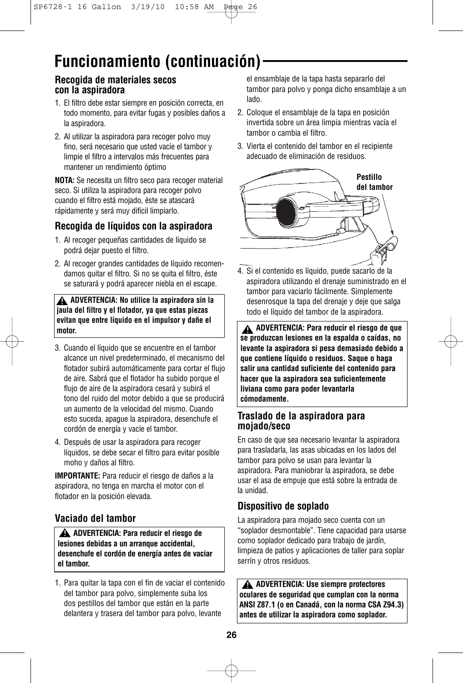## **Funcionamiento (continuación)**

#### **Recogida de materiales secos con la aspiradora**

- 1. El filtro debe estar siempre en posición correcta, en todo momento, para evitar fugas y posibles daños a la aspiradora.
- 2. Al utilizar la aspiradora para recoger polvo muy fino, será necesario que usted vacíe el tambor y limpie el filtro a intervalos más frecuentes para mantener un rendimiento óptimo

**NOTA:** Se necesita un filtro seco para recoger material seco. Si utiliza la aspiradora para recoger polvo cuando el filtro está mojado, éste se atascará rápidamente y será muy difícil limpiarlo.

#### **Recogida de líquidos con la aspiradora**

- 1. Al recoger pequeñas cantidades de líquido se podrá dejar puesto el filtro.
- 2. Al recoger grandes cantidades de líquido recomendamos quitar el filtro. Si no se quita el filtro, éste se saturará y podrá aparecer niebla en el escape.

**ADVERTENCIA: No utilice la aspiradora sin la ! jaula del filtro y el flotador, ya que estas piezas evitan que entre líquido en el impulsor y dañe el motor.**

- 3. Cuando el líquido que se encuentre en el tambor alcance un nivel predeterminado, el mecanismo del flotador subirá automáticamente para cortar el flujo de aire. Sabrá que el flotador ha subido porque el flujo de aire de la aspiradora cesará y subirá el tono del ruido del motor debido a que se producirá un aumento de la velocidad del mismo. Cuando esto suceda, apague la aspiradora, desenchufe el cordón de energía y vacíe el tambor.
- 4. Después de usar la aspiradora para recoger líquidos, se debe secar el filtro para evitar posible moho y daños al filtro.

**IMPORTANTE:** Para reducir el riesgo de daños a la aspiradora, no tenga en marcha el motor con el flotador en la posición elevada.

#### **Vaciado del tambor**

**ADVERTENCIA: Para reducir el riesgo de ! lesiones debidas a un arranque accidental, desenchufe el cordón de energía antes de vaciar el tambor.**

1. Para quitar la tapa con el fin de vaciar el contenido del tambor para polvo, simplemente suba los dos pestillos del tambor que están en la parte delantera y trasera del tambor para polvo, levante

el ensamblaje de la tapa hasta separarlo del tambor para polvo y ponga dicho ensamblaje a un lado.

- 2. Coloque el ensamblaje de la tapa en posición invertida sobre un área limpia mientras vacía el tambor o cambia el filtro.
- 3. Vierta el contenido del tambor en el recipiente adecuado de eliminación de residuos.



4. Si el contenido es líquido, puede sacarlo de la aspiradora utilizando el drenaje suministrado en el tambor para vaciarlo fácilmente. Simplemente desenrosque la tapa del drenaje y deje que salga todo el líquido del tambor de la aspiradora.

**ADVERTENCIA: Para reducir el riesgo de que ! se produzcan lesiones en la espalda o caídas, no levante la aspiradora si pesa demasiado debido a que contiene líquido o residuos. Saque o haga salir una cantidad suficiente del contenido para hacer que la aspiradora sea suficientemente liviana como para poder levantarla cómodamente.**

#### **Traslado de la aspiradora para mojado/seco**

En caso de que sea necesario levantar la aspiradora para trasladarla, las asas ubicadas en los lados del tambor para polvo se usan para levantar la aspiradora. Para maniobrar la aspiradora, se debe usar el asa de empuje que está sobre la entrada de la unidad.

#### **Dispositivo de soplado**

La aspiradora para mojado seco cuenta con un "soplador desmontable". Tiene capacidad para usarse como soplador dedicado para trabajo de jardín, limpieza de patios y aplicaciones de taller para soplar serrín y otros residuos.

**ADVERTENCIA: Use siempre protectores ! oculares de seguridad que cumplan con la norma ANSI Z87.1 (o en Canadá, con la norma CSA Z94.3) antes de utilizar la aspiradora como soplador.**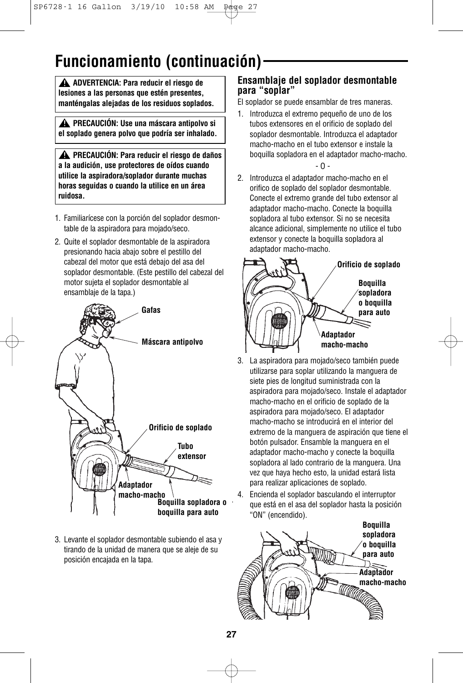## **Funcionamiento (continuación)**

**ADVERTENCIA: Para reducir el riesgo de ! lesiones a las personas que estén presentes, manténgalas alejadas de los residuos soplados.**

**PRECAUCIÓN: Use una máscara antipolvo si ! el soplado genera polvo que podría ser inhalado.**

**PRECAUCIÓN: Para reducir el riesgo de daños ! a la audición, use protectores de oídos cuando utilice la aspiradora/soplador durante muchas horas seguidas o cuando la utilice en un área ruidosa.**

- 1. Familiarícese con la porción del soplador desmontable de la aspiradora para mojado/seco.
- 2. Quite el soplador desmontable de la aspiradora presionando hacia abajo sobre el pestillo del cabezal del motor que está debajo del asa del soplador desmontable. (Este pestillo del cabezal del motor sujeta el soplador desmontable al ensamblaje de la tapa.)



3. Levante el soplador desmontable subiendo el asa y tirando de la unidad de manera que se aleje de su posición encajada en la tapa.

#### **Ensamblaje del soplador desmontable para "soplar"**

El soplador se puede ensamblar de tres maneras.

- 1. Introduzca el extremo pequeño de uno de los tubos extensores en el orificio de soplado del soplador desmontable. Introduzca el adaptador macho-macho en el tubo extensor e instale la boquilla sopladora en el adaptador macho-macho. - O -
- 2. Introduzca el adaptador macho-macho en el orifico de soplado del soplador desmontable. Conecte el extremo grande del tubo extensor al adaptador macho-macho. Conecte la boquilla sopladora al tubo extensor. Si no se necesita alcance adicional, simplemente no utilice el tubo extensor y conecte la boquilla sopladora al adaptador macho-macho.



- 3. La aspiradora para mojado/seco también puede utilizarse para soplar utilizando la manguera de siete pies de longitud suministrada con la aspiradora para mojado/seco. Instale el adaptador macho-macho en el orificio de soplado de la aspiradora para mojado/seco. El adaptador macho-macho se introducirá en el interior del extremo de la manguera de aspiración que tiene el botón pulsador. Ensamble la manguera en el adaptador macho-macho y conecte la boquilla sopladora al lado contrario de la manguera. Una vez que haya hecho esto, la unidad estará lista para realizar aplicaciones de soplado.
- 4. Encienda el soplador basculando el interruptor que está en el asa del soplador hasta la posición "ON" (encendido).

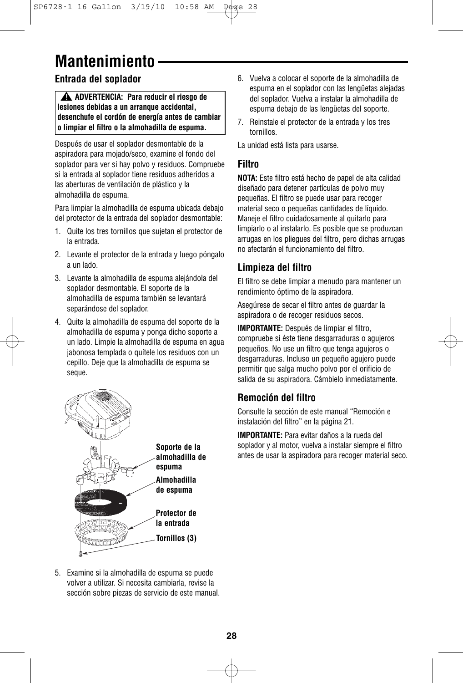## **Mantenimiento**

### **Entrada del soplador**

**ADVERTENCIA: Para reducir el riesgo de ! lesiones debidas a un arranque accidental, desenchufe el cordón de energía antes de cambiar o limpiar el filtro o la almohadilla de espuma.**

Después de usar el soplador desmontable de la aspiradora para mojado/seco, examine el fondo del soplador para ver si hay polvo y residuos. Compruebe si la entrada al soplador tiene residuos adheridos a las aberturas de ventilación de plástico y la almohadilla de espuma.

Para limpiar la almohadilla de espuma ubicada debajo del protector de la entrada del soplador desmontable:

- 1. Quite los tres tornillos que sujetan el protector de la entrada.
- 2. Levante el protector de la entrada y luego póngalo a un lado.
- 3. Levante la almohadilla de espuma alejándola del soplador desmontable. El soporte de la almohadilla de espuma también se levantará separándose del soplador.
- 4. Quite la almohadilla de espuma del soporte de la almohadilla de espuma y ponga dicho soporte a un lado. Limpie la almohadilla de espuma en agua jabonosa templada o quítele los residuos con un cepillo. Deje que la almohadilla de espuma se seque.



5. Examine si la almohadilla de espuma se puede volver a utilizar. Si necesita cambiarla, revise la sección sobre piezas de servicio de este manual.

- 6. Vuelva a colocar el soporte de la almohadilla de espuma en el soplador con las lengüetas alejadas del soplador. Vuelva a instalar la almohadilla de espuma debajo de las lengüetas del soporte.
- 7. Reinstale el protector de la entrada y los tres tornillos.

La unidad está lista para usarse.

#### **Filtro**

**NOTA:** Este filtro está hecho de papel de alta calidad diseñado para detener partículas de polvo muy pequeñas. El filtro se puede usar para recoger material seco o pequeñas cantidades de líquido. Maneje el filtro cuidadosamente al quitarlo para limpiarlo o al instalarlo. Es posible que se produzcan arrugas en los pliegues del filtro, pero dichas arrugas no afectarán el funcionamiento del filtro.

#### **Limpieza del filtro**

El filtro se debe limpiar a menudo para mantener un rendimiento óptimo de la aspiradora.

Asegúrese de secar el filtro antes de guardar la aspiradora o de recoger residuos secos.

**IMPORTANTE:** Después de limpiar el filtro, compruebe si éste tiene desgarraduras o agujeros pequeños. No use un filtro que tenga agujeros o desgarraduras. Incluso un pequeño agujero puede permitir que salga mucho polvo por el orificio de salida de su aspiradora. Cámbielo inmediatamente.

#### **Remoción del filtro**

Consulte la sección de este manual "Remoción e instalación del filtro" en la página 21.

**IMPORTANTE:** Para evitar daños a la rueda del soplador y al motor, vuelva a instalar siempre el filtro antes de usar la aspiradora para recoger material seco.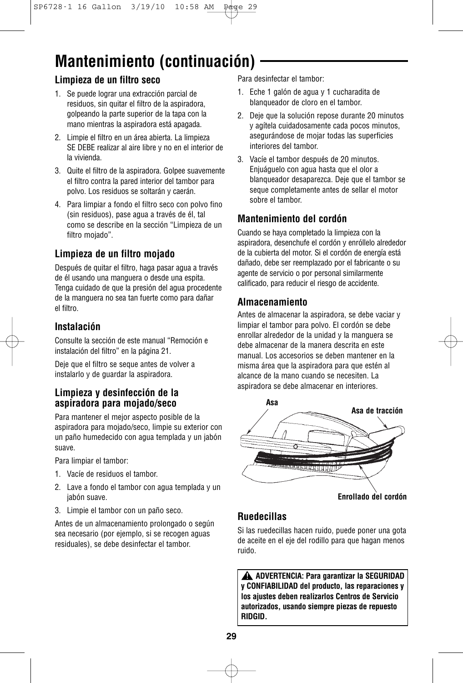# **Mantenimiento (continuación)**

#### **Limpieza de un filtro seco**

- 1. Se puede lograr una extracción parcial de residuos, sin quitar el filtro de la aspiradora, golpeando la parte superior de la tapa con la mano mientras la aspiradora está apagada.
- 2. Limpie el filtro en un área abierta. La limpieza SE DEBE realizar al aire libre y no en el interior de la vivienda.
- 3. Quite el filtro de la aspiradora. Golpee suavemente el filtro contra la pared interior del tambor para polvo. Los residuos se soltarán y caerán.
- 4. Para limpiar a fondo el filtro seco con polvo fino (sin residuos), pase agua a través de él, tal como se describe en la sección "Limpieza de un filtro mojado".

### **Limpieza de un filtro mojado**

Después de quitar el filtro, haga pasar agua a través de él usando una manguera o desde una espita. Tenga cuidado de que la presión del agua procedente de la manguera no sea tan fuerte como para dañar el filtro.

#### **Instalación**

Consulte la sección de este manual "Remoción e instalación del filtro" en la página 21.

Deje que el filtro se seque antes de volver a instalarlo y de guardar la aspiradora.

#### **Limpieza y desinfección de la aspiradora para mojado/seco**

Para mantener el mejor aspecto posible de la aspiradora para mojado/seco, limpie su exterior con un paño humedecido con agua templada y un jabón suave.

Para limpiar el tambor:

- 1. Vacíe de residuos el tambor.
- 2. Lave a fondo el tambor con agua templada y un jabón suave.
- 3. Limpie el tambor con un paño seco.

Antes de un almacenamiento prolongado o según sea necesario (por ejemplo, si se recogen aguas residuales), se debe desinfectar el tambor.

Para desinfectar el tambor:

- 1. Eche 1 galón de agua y 1 cucharadita de blanqueador de cloro en el tambor.
- 2. Deje que la solución repose durante 20 minutos y agítela cuidadosamente cada pocos minutos, asegurándose de mojar todas las superficies interiores del tambor.
- 3. Vacíe el tambor después de 20 minutos. Enjuáguelo con agua hasta que el olor a blanqueador desaparezca. Deje que el tambor se seque completamente antes de sellar el motor sobre el tambor.

### **Mantenimiento del cordón**

Cuando se haya completado la limpieza con la aspiradora, desenchufe el cordón y enróllelo alrededor de la cubierta del motor. Si el cordón de energía está dañado, debe ser reemplazado por el fabricante o su agente de servicio o por personal similarmente calificado, para reducir el riesgo de accidente.

#### **Almacenamiento**

Antes de almacenar la aspiradora, se debe vaciar y limpiar el tambor para polvo. El cordón se debe enrollar alrededor de la unidad y la manguera se debe almacenar de la manera descrita en este manual. Los accesorios se deben mantener en la misma área que la aspiradora para que estén al alcance de la mano cuando se necesiten. La aspiradora se debe almacenar en interiores.



#### **Ruedecillas**

Si las ruedecillas hacen ruido, puede poner una gota de aceite en el eje del rodillo para que hagan menos ruido.

**ADVERTENCIA: Para garantizar la SEGURIDAD ! y CONFIABILIDAD del producto, las reparaciones y los ajustes deben realizarlos Centros de Servicio autorizados, usando siempre piezas de repuesto RIDGID.**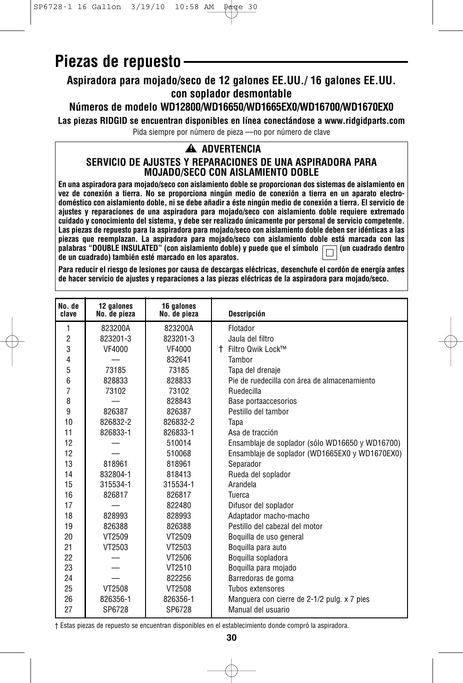## **Piezas de repuesto**

### **Aspiradora para mojado/seco de 12 galones EE.UU./ 16 galones EE.UU. con soplador desmontable**

### **Números de modelo WD12800/WD16650/WD1665EX0/WD16700/WD1670EX0**

**Las piezas RIDGID se encuentran disponibles en línea conectándose a www.ridgidparts.com**

Pida siempre por número de pieza —no por número de clave

#### **ADVERTENCIA !**

#### **SERVICIO DE AJUSTES Y REPARACIONES DE UNA ASPIRADORA PARA MOJADO/SECO CON AISLAMIENTO DOBLE**

**En una aspiradora para mojado/seco con aislamiento doble se proporcionan dos sistemas de aislamiento en vez de conexión a tierra. No se proporciona ningún medio de conexión a tierra en un aparato electrodoméstico con aislamiento doble, ni se debe añadir a éste ningún medio de conexión a tierra. El servicio de ajustes y reparaciones de una aspiradora para mojado/seco con aislamiento doble requiere extremado cuidado y conocimiento del sistema, y debe ser realizado únicamente por personal de servicio competente. Las piezas de repuesto para la aspiradora para mojado/seco con aislamiento doble deben ser idénticas a las piezas que reemplazan. La aspiradora para mojado/seco con aislamiento doble está marcada con las** palabras "DOUBLE INSULATED" (con aislamiento doble) y puede que el símbolo  $\Box$  (un cuadrado dentro **de un cuadrado) también esté marcado en los aparatos.**

**Para reducir el riesgo de lesiones por causa de descargas eléctricas, desenchufe el cordón de energía antes de hacer servicio de ajustes y reparaciones a las piezas eléctricas de la aspiradora para mojado/seco.**

| No. de<br>clave | 12 galones<br>No. de pieza | 16 galones<br>No. de pieza | <b>Descripción</b>                              |
|-----------------|----------------------------|----------------------------|-------------------------------------------------|
| 1               | 823200A                    | 823200A                    | Flotador                                        |
| $\overline{2}$  | 823201-3                   | 823201-3                   | Jaula del filtro                                |
| 3               | VF4000                     | VF4000                     | † Filtro Qwik Lock™                             |
| $\overline{4}$  |                            | 832641                     | Tambor                                          |
| 5               | 73185                      | 73185                      | Tapa del drenaje                                |
| 6               | 828833                     | 828833                     | Pie de ruedecilla con área de almacenamiento    |
| $\overline{7}$  | 73102                      | 73102                      | Ruedecilla                                      |
| 8               |                            | 828843                     | Base portaaccesorios                            |
| 9               | 826387                     | 826387                     | Pestillo del tambor                             |
| 10              | 826832-2                   | 826832-2                   | Tapa                                            |
| 11              | 826833-1                   | 826833-1                   | Asa de tracción                                 |
| 12              |                            | 510014                     | Ensamblaje de soplador (sólo WD16650 y WD16700) |
| 12              |                            | 510068                     | Ensamblaje de soplador (WD1665EX0 y WD1670EX0)  |
| 13              | 818961                     | 818961                     | Separador                                       |
| 14              | 832804-1                   | 818413                     | Rueda del soplador                              |
| 15              | 315534-1                   | 315534-1                   | Arandela                                        |
| 16              | 826817                     | 826817                     | Tuerca                                          |
| 17              |                            | 822480                     | Difusor del soplador                            |
| 18              | 828993                     | 828993                     | Adaptador macho-macho                           |
| 19              | 826388                     | 826388                     | Pestillo del cabezal del motor                  |
| 20              | VT2509                     | VT2509                     | Boquilla de uso general                         |
| 21              | VT2503                     | VT2503                     | Boquilla para auto                              |
| 22              |                            | VT2506                     | Boquilla sopladora                              |
| 23              |                            | VT2510                     | Boquilla para mojado                            |
| 24              |                            | 822256                     | Barredoras de goma                              |
| 25              | VT2508                     | VT2508                     | Tubos extensores                                |
| 26              | 826356-1                   | 826356-1                   | Manguera con cierre de 2-1/2 pulg. x 7 pies     |
| 27              | SP6728                     | SP6728                     | Manual del usuario                              |

† Estas piezas de repuesto se encuentran disponibles en el establecimiento donde compró la aspiradora.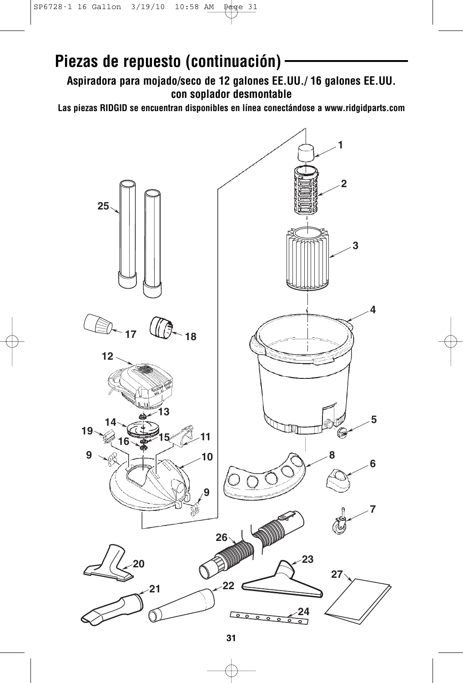## **Piezas de repuesto (continuación)**

**Aspiradora para mojado/seco de 12 galones EE.UU./ 16 galones EE.UU. con soplador desmontable**

**Las piezas RIDGID se encuentran disponibles en línea conectándose a www.ridgidparts.com**

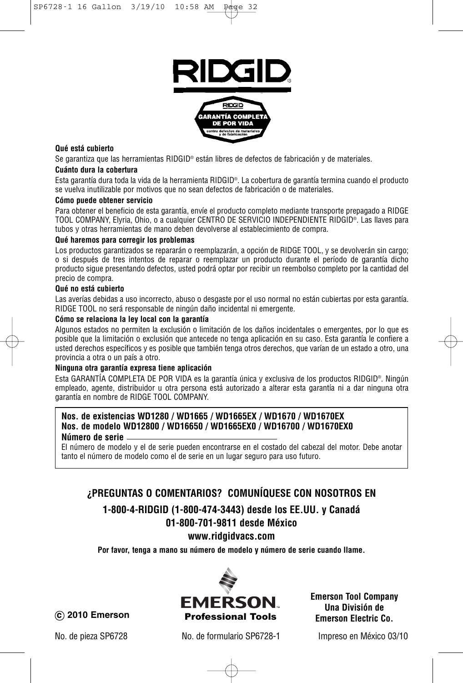

#### **Qué está cubierto**

Se garantiza que las herramientas RIDGID® están libres de defectos de fabricación y de materiales.

#### **Cuánto dura la cobertura**

Esta garantía dura toda la vida de la herramienta RIDGID®. La cobertura de garantía termina cuando el producto se vuelva inutilizable por motivos que no sean defectos de fabricación o de materiales.

#### **Cómo puede obtener servicio**

Para obtener el beneficio de esta garantía, envíe el producto completo mediante transporte prepagado a RIDGE TOOL COMPANY, Elyria, Ohio, o a cualquier CENTRO DE SERVICIO INDEPENDIENTE RIDGID®. Las llaves para tubos y otras herramientas de mano deben devolverse al establecimiento de compra.

#### **Qué haremos para corregir los problemas**

Los productos garantizados se repararán o reemplazarán, a opción de RIDGE TOOL, y se devolverán sin cargo; o si después de tres intentos de reparar o reemplazar un producto durante el período de garantía dicho producto sigue presentando defectos, usted podrá optar por recibir un reembolso completo por la cantidad del precio de compra.

#### **Qué no está cubierto**

Las averías debidas a uso incorrecto, abuso o desgaste por el uso normal no están cubiertas por esta garantía. RIDGE TOOL no será responsable de ningún daño incidental ni emergente.

#### **Cómo se relaciona la ley local con la garantía**

Algunos estados no permiten la exclusión o limitación de los daños incidentales o emergentes, por lo que es posible que la limitación o exclusión que antecede no tenga aplicación en su caso. Esta garantía le confiere a usted derechos específicos y es posible que también tenga otros derechos, que varían de un estado a otro, una provincia a otra o un país a otro.

#### **Ninguna otra garantía expresa tiene aplicación**

Esta GARANTÍA COMPLETA DE POR VIDA es la garantía única y exclusiva de los productos RIDGID®. Ningún empleado, agente, distribuidor u otra persona está autorizado a alterar esta garantía ni a dar ninguna otra garantía en nombre de RIDGE TOOL COMPANY.

#### **Nos. de existencias WD1280 / WD1665 / WD1665EX / WD1670 / WD1670EX Nos. de modelo WD12800 / WD16650 / WD1665EX0 / WD16700 / WD1670EX0**

#### **Número de serie**

El número de modelo y el de serie pueden encontrarse en el costado del cabezal del motor. Debe anotar tanto el número de modelo como el de serie en un lugar seguro para uso futuro.

#### **¿PREGUNTAS O COMENTARIOS? COMUNÍQUESE CON NOSOTROS EN**

### **1-800-4-RIDGID (1-800-474-3443) desde los EE.UU. y Canadá**

#### **01-800-701-9811 desde México**

**www.ridgidvacs.com**

**Por favor, tenga a mano su número de modelo y número de serie cuando llame.**



**Emerson Tool Company Una División de**

No. de pieza SP6728 No. de formulario SP6728-1 Impreso en México 03/10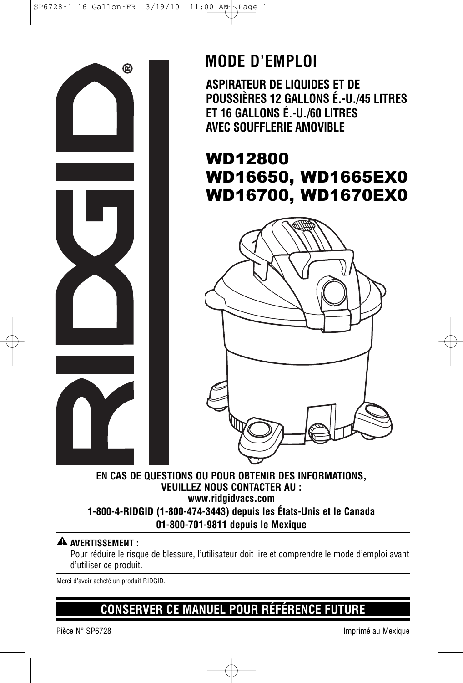

## **MODE D'EMPLOI**

**ASPIRATEUR DE LIQUIDES ET DE POUSSIÈRES 12 GALLONS É.-U./45 LITRES ET 16 GALLONS É.-U./60 LITRES AVEC SOUFFLERIE AMOVIBLE**

### WD12800 WD16650, WD1665EX0 WD16700, WD1670EX0



#### **EN CAS DE QUESTIONS OU POUR OBTENIR DES INFORMATIONS, VEUILLEZ NOUS CONTACTER AU : www.ridgidvacs.com 1-800-4-RIDGID (1-800-474-3443) depuis les États-Unis et le Canada 01-800-701-9811 depuis le Mexique**

### $\blacktriangle$  avertissement :

Pour réduire le risque de blessure, l'utilisateur doit lire et comprendre le mode d'emploi avant d'utiliser ce produit.

Merci d'avoir acheté un produit RIDGID.

### **CONSERVER CE MANUEL POUR RÉFÉRENCE FUTURE**

Pièce N° SP6728 Imprimé au Mexique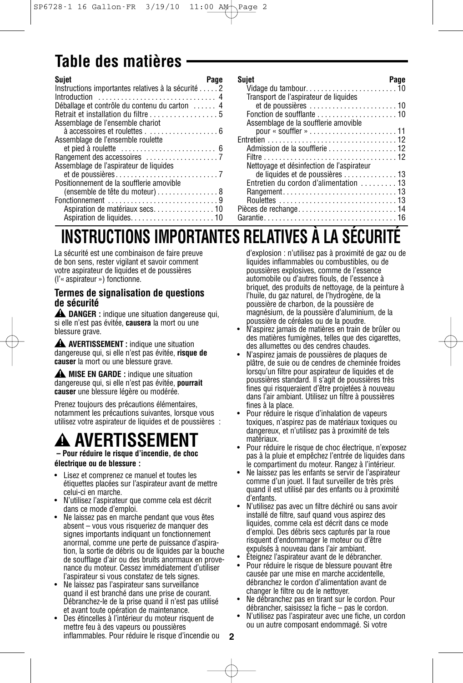## **Table des matières**

| <b>Sujet</b><br>Page                               |
|----------------------------------------------------|
| Instructions importantes relatives à la sécurité 2 |
|                                                    |
| Déballage et contrôle du contenu du carton  4      |
| Retrait et installation du filtre 5                |
| Assemblage de l'ensemble chariot                   |
| à accessoires et roulettes 6                       |
| Assemblage de l'ensemble roulette                  |
|                                                    |
|                                                    |
| Assemblage de l'aspirateur de liquides             |
|                                                    |
| Positionnement de la soufflerie amovible           |
| (ensemble de tête du moteur) 8                     |
| Fonctionnement 9                                   |
|                                                    |
|                                                    |

| Sujet                                     | Page |
|-------------------------------------------|------|
| Transport de l'aspirateur de liquides     |      |
|                                           |      |
|                                           |      |
| Assemblage de la soufflerie amovible      |      |
|                                           |      |
|                                           |      |
| Admission de la soufflerie 12             |      |
|                                           |      |
| Nettoyage et désinfection de l'aspirateur |      |
|                                           |      |
| Entretien du cordon d'alimentation  13    |      |
|                                           |      |
|                                           |      |
|                                           |      |
|                                           |      |

## **INSTRUCTIONS IMPORTANTES RELATIVES À LA SÉCURITÉ**

La sécurité est une combinaison de faire preuve de bon sens, rester vigilant et savoir comment votre aspirateur de liquides et de poussières (l'« aspirateur ») fonctionne.

#### **Termes de signalisation de questions de sécurité**

**DANGER :** indique une situation dangereuse qui, **!** si elle n'est pas évitée, **causera** la mort ou une blessure grave.

**AVERTISSEMENT :** indique une situation **!** dangereuse qui, si elle n'est pas évitée, **risque de causer** la mort ou une blessure grave.

**MISE EN GARDE :** indique une situation **!** dangereuse qui, si elle n'est pas évitée, **pourrait causer** une blessure légère ou modérée.

Prenez toujours des précautions élémentaires, notamment les précautions suivantes, lorsque vous utilisez votre aspirateur de liquides et de poussières :

## **AVERTISSEMENT !**

#### **– Pour réduire le risque d'incendie, de choc électrique ou de blessure :**

- Lisez et comprenez ce manuel et toutes les
- étiquettes placées sur l'aspirateur avant de mettre celui-ci en marche.
- N'utilisez l'aspirateur que comme cela est décrit dans ce mode d'emploi.
- Ne laissez pas en marche pendant que vous êtes absent – vous vous risqueriez de manquer des signes importants indiquant un fonctionnement anormal, comme une perte de puissance d'aspiration, la sortie de débris ou de liquides par la bouche de soufflage d'air ou des bruits anormaux en provenance du moteur. Cessez immédiatement d'utiliser l'aspirateur si vous constatez de tels signes.
- Ne laissez pas l'aspirateur sans surveillance quand il est branché dans une prise de courant. Débranchez-le de la prise quand il n'est pas utilisé et avant toute opération de maintenance.
- Des étincelles à l'intérieur du moteur risquent de mettre feu à des vapeurs ou poussières inflammables. Pour réduire le risque d'incendie ou

d'explosion : n'utilisez pas à proximité de gaz ou de liquides inflammables ou combustibles, ou de poussières explosives, comme de l'essence automobile ou d'autres fiouls, de l'essence à briquet, des produits de nettoyage, de la peinture à l'huile, du gaz naturel, de l'hydrogène, de la poussière de charbon, de la poussière de magnésium, de la poussière d'aluminium, de la poussière de céréales ou de la poudre.

- N'aspirez jamais de matières en train de brûler ou des matières fumigènes, telles que des cigarettes, des allumettes ou des cendres chaudes.
- N'aspirez jamais de poussières de plaques de plâtre, de suie ou de cendres de cheminée froides lorsqu'un filtre pour aspirateur de liquides et de poussières standard. Il s'agit de poussières très fines qui risqueraient d'être projetées à nouveau dans l'air ambiant. Utilisez un filtre à poussières fines à la place.
- Pour réduire le risque d'inhalation de vapeurs toxiques, n'aspirez pas de matériaux toxiques ou dangereux, et n'utilisez pas à proximité de tels matériaux.
- Pour réduire le risque de choc électrique, n'exposez pas à la pluie et empêchez l'entrée de liquides dans le compartiment du moteur. Rangez à l'intérieur.
- Ne laissez pas les enfants se servir de l'aspirateur comme d'un jouet. Il faut surveiller de très près quand il est utilisé par des enfants ou à proximité d'enfants.
- N'utilisez pas avec un filtre déchiré ou sans avoir installé de filtre, sauf quand vous aspirez des liquides, comme cela est décrit dans ce mode d'emploi. Des débris secs capturés par la roue risquent d'endommager le moteur ou d'être expulsés à nouveau dans l'air ambiant.
- Éteignez l'aspirateur avant de le débrancher.
- Pour réduire le risque de blessure pouvant être causée par une mise en marche accidentelle, débranchez le cordon d'alimentation avant de changer le filtre ou de le nettoyer.
- Ne débranchez pas en tirant sur le cordon. Pour débrancher, saisissez la fiche – pas le cordon.
- N'utilisez pas l'aspirateur avec une fiche, un cordon ou un autre composant endommagé. Si votre

**2**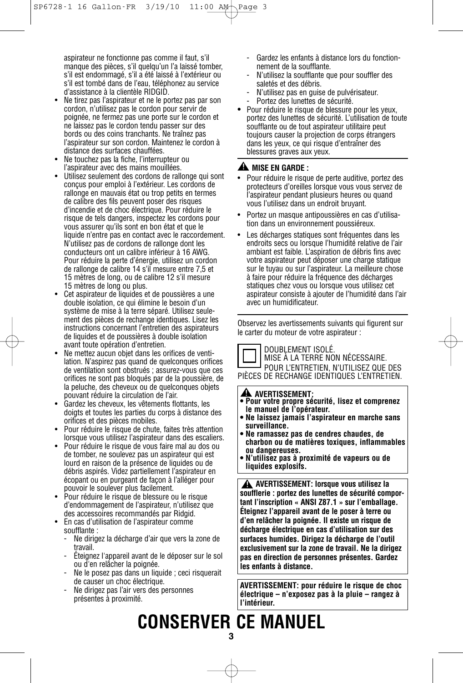aspirateur ne fonctionne pas comme il faut, s'il manque des pièces, s'il quelqu'un l'a laissé tomber, s'il est endommagé, s'il a été laissé à l'extérieur ou s'il est tombé dans de l'eau, téléphonez au service d'assistance à la clientèle RIDGID.

- Ne tirez pas l'aspirateur et ne le portez pas par son cordon, n'utilisez pas le cordon pour servir de poignée, ne fermez pas une porte sur le cordon et ne laissez pas le cordon tendu passer sur des bords ou des coins tranchants. Ne traînez pas l'aspirateur sur son cordon. Maintenez le cordon à distance des surfaces chauffées.
- Ne touchez pas la fiche, l'interrupteur ou l'aspirateur avec des mains mouillées.
- Utilisez seulement des cordons de rallonge qui sont conçus pour emploi à l'extérieur. Les cordons de rallonge en mauvais état ou trop petits en termes de calibre des fils peuvent poser des risques d'incendie et de choc électrique. Pour réduire le risque de tels dangers, inspectez les cordons pour vous assurer qu'ils sont en bon état et que le liquide n'entre pas en contact avec le raccordement. N'utilisez pas de cordons de rallonge dont les conducteurs ont un calibre inférieur à 16 AWG. Pour réduire la perte d'énergie, utilisez un cordon de rallonge de calibre 14 s'il mesure entre 7,5 et 15 mètres de long, ou de calibre 12 s'il mesure 15 mètres de long ou plus.
- Cet aspirateur de liquides et de poussières a une double isolation, ce qui élimine le besoin d'un système de mise à la terre séparé. Utilisez seulement des pièces de rechange identiques. Lisez les instructions concernant l'entretien des aspirateurs de liquides et de poussières à double isolation avant toute opération d'entretien.
- Ne mettez aucun objet dans les orifices de ventilation. N'aspirez pas quand de quelconques orifices de ventilation sont obstrués ; assurez-vous que ces orifices ne sont pas bloqués par de la poussière, de la peluche, des cheveux ou de quelconques objets pouvant réduire la circulation de l'air.
- Gardez les cheveux, les vêtements flottants, les doigts et toutes les parties du corps à distance des orifices et des pièces mobiles.
- Pour réduire le risque de chute, faites très attention lorsque vous utilisez l'aspirateur dans des escaliers.
- Pour réduire le risque de vous faire mal au dos ou de tomber, ne soulevez pas un aspirateur qui est lourd en raison de la présence de liquides ou de débris aspirés. Videz partiellement l'aspirateur en écopant ou en purgeant de façon à l'alléger pour pouvoir le soulever plus facilement.
- Pour réduire le risque de blessure ou le risque d'endommagement de l'aspirateur, n'utilisez que des accessoires recommandés par Ridgid.
- En cas d'utilisation de l'aspirateur comme soufflante :
	- Ne dirigez la décharge d'air que vers la zone de travail.
	- Éteignez l'appareil avant de le déposer sur le sol ou d'en relâcher la poignée.
	- Ne le posez pas dans un liquide ; ceci risquerait de causer un choc électrique.
	- Ne dirigez pas l'air vers des personnes présentes à proximité.
- Gardez les enfants à distance lors du fonctionnement de la soufflante.
- N'utilisez la soufflante que pour souffler des saletés et des débris.
- N'utilisez pas en guise de pulvérisateur.
- Portez des lunettes de sécurité.
- Pour réduire le risque de blessure pour les yeux, portez des lunettes de sécurité. L'utilisation de toute soufflante ou de tout aspirateur utilitaire peut toujours causer la projection de corps étrangers dans les yeux, ce qui risque d'entraîner des blessures graves aux yeux.

#### **MISE EN GARDE : !**

- Pour réduire le risque de perte auditive, portez des protecteurs d'oreilles lorsque vous vous servez de l'aspirateur pendant plusieurs heures ou quand vous l'utilisez dans un endroit bruyant.
- Portez un masque antipoussières en cas d'utilisation dans un environnement poussiéreux.
- Les décharges statiques sont fréquentes dans les endroits secs ou lorsque l'humidité relative de l'air ambiant est faible. L'aspiration de débris fins avec votre aspirateur peut déposer une charge statique sur le tuyau ou sur l'aspirateur. La meilleure chose à faire pour réduire la fréquence des décharges statiques chez vous ou lorsque vous utilisez cet aspirateur consiste à ajouter de l'humidité dans l'air avec un humidificateur.

Observez les avertissements suivants qui figurent sur le carter du moteur de votre aspirateur :

DOUBLEMENT ISOLÉ.



### MISE À LA TERRE NON NÉCESSAIRE.

POUR L'ENTRETIEN, N'UTILISEZ QUE DES PIÈCES DE RECHANGE IDENTIQUES L'ENTRETIEN.

#### **A** AVERTISSEMENT:

- **AVERTISSEMENT: • Pour votre propre sécurité, lisez et comprenez le manuel de l'opérateur.**
- **• Ne laissez jamais l'aspirateur en marche sans surveillance.**
- **• Ne ramassez pas de cendres chaudes, de charbon ou de matières toxiques, inflammables ou dangereuses.**
- **• N'utilisez pas à proximité de vapeurs ou de liquides explosifs.**

**AVERTISSEMENT: lorsque vous utilisez la ! soufflerie : portez des lunettes de sécurité comportant l'inscription « ANSI Z87.1 » sur l'emballage. Éteignez l'appareil avant de le poser à terre ou d'en relâcher la poignée. Il existe un risque de décharge électrique en cas d'utilisation sur des surfaces humides. Dirigez la décharge de l'outil exclusivement sur la zone de travail. Ne la dirigez pas en direction de personnes présentes. Gardez les enfants à distance.**

**AVERTISSEMENT: pour réduire le risque de choc électrique – n'exposez pas à la pluie – rangez à l'intérieur.**

# **CONSERVER CE MANUEL**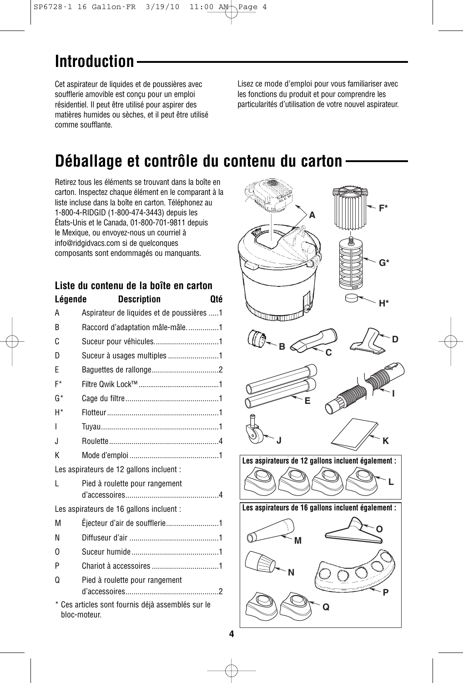## **Introduction**

Cet aspirateur de liquides et de poussières avec soufflerie amovible est conçu pour un emploi résidentiel. Il peut être utilisé pour aspirer des matières humides ou sèches, et il peut être utilisé comme soufflante.

Lisez ce mode d'emploi pour vous familiariser avec les fonctions du produit et pour comprendre les particularités d'utilisation de votre nouvel aspirateur.

### **Déballage et contrôle du contenu du carton**

Retirez tous les éléments se trouvant dans la boîte en carton. Inspectez chaque élément en le comparant à la liste incluse dans la boîte en carton. Téléphonez au 1-800-4-RIDGID (1-800-474-3443) depuis les États-Unis et le Canada, 01-800-701-9811 depuis le Mexique, ou envoyez-nous un courriel à info@ridgidvacs.com si de quelconques composants sont endommagés ou manquants.

| Liste du contenu de la boîte en carton |                                                                   |  |
|----------------------------------------|-------------------------------------------------------------------|--|
| Légende                                | <b>Description</b><br>Oté                                         |  |
| A                                      | Aspirateur de liquides et de poussières 1                         |  |
| R                                      | Raccord d'adaptation mâle-mâle1                                   |  |
| C                                      | Suceur pour véhicules1                                            |  |
| D                                      | Suceur à usages multiples 1                                       |  |
| F                                      |                                                                   |  |
| F*                                     |                                                                   |  |
| G*                                     |                                                                   |  |
| H*                                     |                                                                   |  |
| I                                      |                                                                   |  |
| J.                                     |                                                                   |  |
| K                                      |                                                                   |  |
|                                        | Les aspirateurs de 12 gallons incluent :                          |  |
| L                                      | Pied à roulette pour rangement                                    |  |
|                                        |                                                                   |  |
|                                        | Les aspirateurs de 16 gallons incluent :                          |  |
| М                                      | Éjecteur d'air de soufflerie1                                     |  |
| N                                      |                                                                   |  |
| 0                                      |                                                                   |  |
| P                                      |                                                                   |  |
| Ω                                      | Pied à roulette pour rangement                                    |  |
|                                        |                                                                   |  |
|                                        | * Ces articles sont fournis déjà assemblés sur le<br>bloc-moteur. |  |

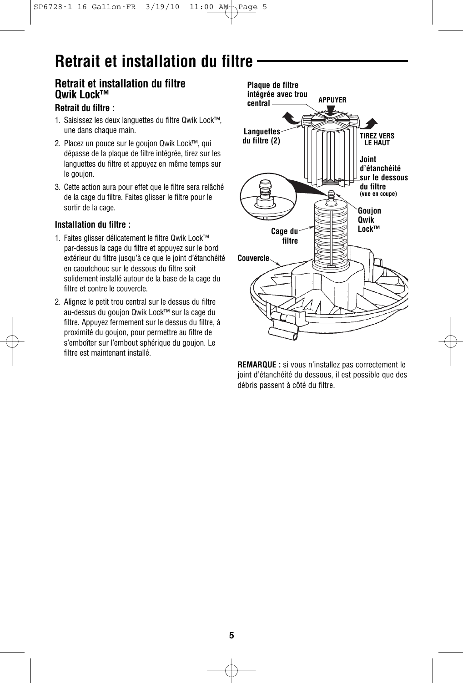## **Retrait et installation du filtre**

### **Retrait et installation du filtre Qwik Lock™**

#### **Retrait du filtre :**

- 1. Saisissez les deux languettes du filtre Qwik Lock™, une dans chaque main.
- 2. Placez un pouce sur le goujon Qwik Lock™, qui dépasse de la plaque de filtre intégrée, tirez sur les languettes du filtre et appuyez en même temps sur le goujon.
- 3. Cette action aura pour effet que le filtre sera relâché de la cage du filtre. Faites glisser le filtre pour le sortir de la cage.

#### **Installation du filtre :**

- 1. Faites glisser délicatement le filtre Qwik Lock™ par-dessus la cage du filtre et appuyez sur le bord extérieur du filtre jusqu'à ce que le joint d'étanchéité en caoutchouc sur le dessous du filtre soit solidement installé autour de la base de la cage du filtre et contre le couvercle.
- 2. Alignez le petit trou central sur le dessus du filtre au-dessus du goujon Qwik Lock™ sur la cage du filtre. Appuyez fermement sur le dessus du filtre, à proximité du goujon, pour permettre au filtre de s'emboîter sur l'embout sphérique du goujon. Le filtre est maintenant installé.



**REMARQUE :** si vous n'installez pas correctement le joint d'étanchéité du dessous, il est possible que des débris passent à côté du filtre.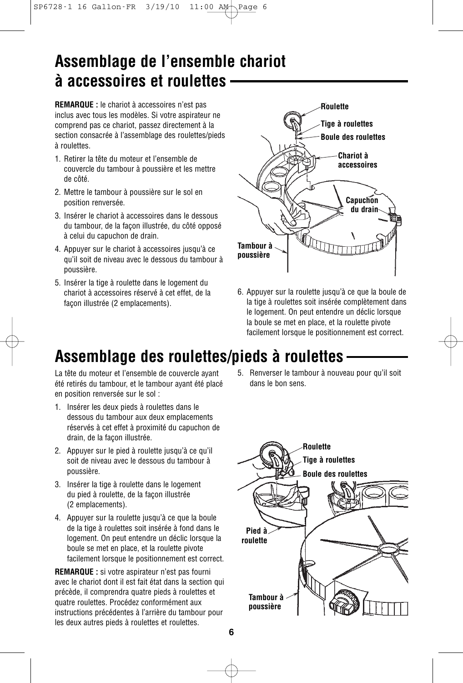### **Assemblage de l'ensemble chariot à accessoires et roulettes**

**REMARQUE :** le chariot à accessoires n'est pas inclus avec tous les modèles. Si votre aspirateur ne comprend pas ce chariot, passez directement à la section consacrée à l'assemblage des roulettes/pieds à roulettes.

- 1. Retirer la tête du moteur et l'ensemble de couvercle du tambour à poussière et les mettre de côté.
- 2. Mettre le tambour à poussière sur le sol en position renversée.
- 3. Insérer le chariot à accessoires dans le dessous du tambour, de la façon illustrée, du côté opposé à celui du capuchon de drain.
- 4. Appuyer sur le chariot à accessoires jusqu'à ce qu'il soit de niveau avec le dessous du tambour à poussière.
- 5. Insérer la tige à roulette dans le logement du chariot à accessoires réservé à cet effet, de la façon illustrée (2 emplacements).



6. Appuyer sur la roulette jusqu'à ce que la boule de la tige à roulettes soit insérée complètement dans le logement. On peut entendre un déclic lorsque la boule se met en place, et la roulette pivote facilement lorsque le positionnement est correct.

### **Assemblage des roulettes/pieds à roulettes**

La tête du moteur et l'ensemble de couvercle ayant été retirés du tambour, et le tambour ayant été placé en position renversée sur le sol :

- 1. Insérer les deux pieds à roulettes dans le dessous du tambour aux deux emplacements réservés à cet effet à proximité du capuchon de drain, de la façon illustrée.
- 2. Appuyer sur le pied à roulette jusqu'à ce qu'il soit de niveau avec le dessous du tambour à poussière.
- 3. Insérer la tige à roulette dans le logement du pied à roulette, de la façon illustrée (2 emplacements).
- 4. Appuyer sur la roulette jusqu'à ce que la boule de la tige à roulettes soit insérée à fond dans le logement. On peut entendre un déclic lorsque la boule se met en place, et la roulette pivote facilement lorsque le positionnement est correct.

**REMARQUE :** si votre aspirateur n'est pas fourni avec le chariot dont il est fait état dans la section qui précède, il comprendra quatre pieds à roulettes et quatre roulettes. Procédez conformément aux instructions précédentes à l'arrière du tambour pour les deux autres pieds à roulettes et roulettes.

5. Renverser le tambour à nouveau pour qu'il soit dans le bon sens.

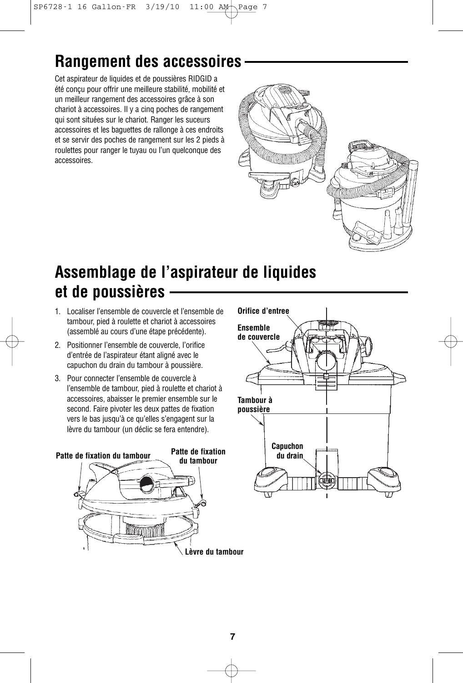## **Rangement des accessoires**

Cet aspirateur de liquides et de poussières RIDGID a été conçu pour offrir une meilleure stabilité, mobilité et un meilleur rangement des accessoires grâce à son chariot à accessoires. Il y a cinq poches de rangement qui sont situées sur le chariot. Ranger les suceurs accessoires et les baguettes de rallonge à ces endroits et se servir des poches de rangement sur les 2 pieds à roulettes pour ranger le tuyau ou l'un quelconque des accessoires.



## **Assemblage de l'aspirateur de liquides et de poussières**

- 1. Localiser l'ensemble de couvercle et l'ensemble de tambour, pied à roulette et chariot à accessoires (assemblé au cours d'une étape précédente).
- 2. Positionner l'ensemble de couvercle, l'orifice d'entrée de l'aspirateur étant aligné avec le capuchon du drain du tambour à poussière.
- 3. Pour connecter l'ensemble de couvercle à l'ensemble de tambour, pied à roulette et chariot à accessoires, abaisser le premier ensemble sur le second. Faire pivoter les deux pattes de fixation vers le bas jusqu'à ce qu'elles s'engagent sur la lèvre du tambour (un déclic se fera entendre).



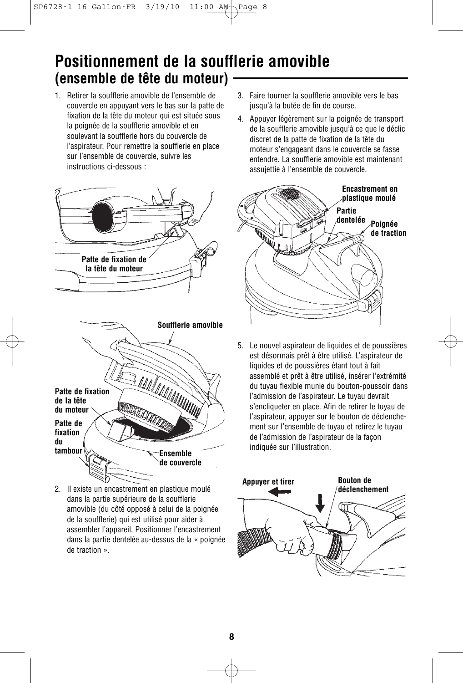### **Positionnement de la soufflerie amovible (ensemble de tête du moteur)**

1. Retirer la soufflerie amovible de l'ensemble de couvercle en appuyant vers le bas sur la patte de fixation de la tête du moteur qui est située sous la poignée de la soufflerie amovible et en soulevant la soufflerie hors du couvercle de l'aspirateur. Pour remettre la soufflerie en place sur l'ensemble de couvercle, suivre les instructions ci-dessous :





2. Il existe un encastrement en plastique moulé dans la partie supérieure de la soufflerie amovible (du côté opposé à celui de la poignée de la soufflerie) qui est utilisé pour aider à assembler l'appareil. Positionner l'encastrement dans la partie dentelée au-dessus de la « poignée de traction ».

- 3. Faire tourner la soufflerie amovible vers le bas jusqu'à la butée de fin de course.
- 4. Appuyer légèrement sur la poignée de transport de la soufflerie amovible jusqu'à ce que le déclic discret de la patte de fixation de la tête du moteur s'engageant dans le couvercle se fasse entendre. La soufflerie amovible est maintenant assujettie à l'ensemble de couvercle.



5. Le nouvel aspirateur de liquides et de poussières est désormais prêt à être utilisé. L'aspirateur de liquides et de poussières étant tout à fait assemblé et prêt à être utilisé, insérer l'extrémité du tuyau flexible munie du bouton-poussoir dans l'admission de l'aspirateur. Le tuyau devrait s'encliqueter en place. Afin de retirer le tuyau de l'aspirateur, appuyer sur le bouton de déclenchement sur l'ensemble de tuyau et retirez le tuyau de l'admission de l'aspirateur de la façon indiquée sur l'illustration.

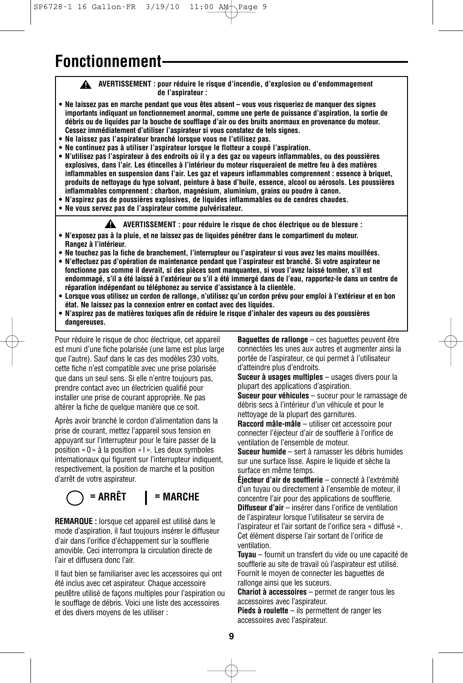### **Fonctionnement**

**AVERTISSEMENT : pour réduire le risque d'incendie, d'explosion ou d'endommagement ! de l'aspirateur :**

- **Ne laissez pas en marche pendant que vous êtes absent vous vous risqueriez de manquer des signes importants indiquant un fonctionnement anormal, comme une perte de puissance d'aspiration, la sortie de débris ou de liquides par la bouche de soufflage d'air ou des bruits anormaux en provenance du moteur. Cessez immédiatement d'utiliser l'aspirateur si vous constatez de tels signes.**
- **Ne laissez pas l'aspirateur branché lorsque vous ne l'utilisez pas.**
- **Ne continuez pas à utiliser l'aspirateur lorsque le flotteur a coupé l'aspiration.**
- **N'utilisez pas l'aspirateur à des endroits où il y a des gaz ou vapeurs inflammables, ou des poussières explosives, dans l'air. Les étincelles à l'intérieur du moteur risqueraient de mettre feu à des matières inflammables en suspension dans l'air. Les gaz et vapeurs inflammables comprennent : essence à briquet, produits de nettoyage du type solvant, peinture à base d'huile, essence, alcool ou aérosols. Les poussières inflammables comprennent : charbon, magnésium, aluminium, grains ou poudre à canon.**
- **N'aspirez pas de poussières explosives, de liquides inflammables ou de cendres chaudes.**
- **Ne vous servez pas de l'aspirateur comme pulvérisateur.**

**AVERTISSEMENT : pour réduire le risque de choc électrique ou de blessure : !**

- **N'exposez pas à la pluie, et ne laissez pas de liquides pénétrer dans le compartiment du moteur. Rangez à l'intérieur.**
- **Ne touchez pas la fiche de branchement, l'interrupteur ou l'aspirateur si vous avez les mains mouillées. • N'effectuez pas d'opération de maintenance pendant que l'aspirateur est branché. Si votre aspirateur ne**
- **fonctionne pas comme il devrait, si des pièces sont manquantes, si vous l'avez laissé tomber, s'il est endommagé, s'il a été laissé à l'extérieur ou s'il a été immergé dans de l'eau, rapportez-le dans un centre de réparation indépendant ou téléphonez au service d'assistance à la clientèle.**
- **• Lorsque vous utilisez un cordon de rallonge, n'utilisez qu'un cordon prévu pour emploi à l'extérieur et en bon état. Ne laissez pas la connexion entrer en contact avec des liquides.**
- **N'aspirez pas de matières toxiques afin de réduire le risque d'inhaler des vapeurs ou des poussières dangereuses.**

Pour réduire le risque de choc électrique, cet appareil est muni d'une fiche polarisée (une lame est plus large que l'autre). Sauf dans le cas des modèles 230 volts, cette fiche n'est compatible avec une prise polarisée que dans un seul sens. Si elle n'entre toujours pas, prendre contact avec un électricien qualifié pour installer une prise de courant appropriée. Ne pas altérer la fiche de quelque manière que ce soit.

Après avoir branché le cordon d'alimentation dans la prise de courant, mettez l'appareil sous tension en appuyant sur l'interrupteur pour le faire passer de la position « 0 » à la position « I ». Les deux symboles internationaux qui figurent sur l'interrupteur indiquent, respectivement, la position de marche et la position d'arrêt de votre aspirateur.

### **= ARRÊT = MARCHE**

**REMARQUE :** lorsque cet appareil est utilisé dans le mode d'aspiration, il faut toujours insérer le diffuseur d'air dans l'orifice d'échappement sur la soufflerie amovible. Ceci interrompra la circulation directe de l'air et diffusera donc l'air.

Il faut bien se familiariser avec les accessoires qui ont été inclus avec cet aspirateur. Chaque accessoire peutêtre utilisé de façons multiples pour l'aspiration ou le soufflage de débris. Voici une liste des accessoires et des divers moyens de les utiliser :

**Baguettes de rallonge** – ces baguettes peuvent être connectées les unes aux autres et augmenter ainsi la portée de l'aspirateur, ce qui permet à l'utilisateur d'atteindre plus d'endroits.

**Suceur à usages multiples** – usages divers pour la plupart des applications d'aspiration.

**Suceur pour véhicules** – suceur pour le ramassage de débris secs à l'intérieur d'un véhicule et pour le nettoyage de la plupart des garnitures.

**Raccord mâle-mâle** – utiliser cet accessoire pour connecter l'éjecteur d'air de soufflerie à l'orifice de ventilation de l'ensemble de moteur.

**Suceur humide** – sert à ramasser les débris humides sur une surface lisse. Aspire le liquide et sèche la surface en même temps.

**Éjecteur d'air de soufflerie** – connecté à l'extrémité d'un tuyau ou directement à l'ensemble de moteur, il concentre l'air pour des applications de soufflerie.

**Diffuseur d'air** – insérer dans l'orifice de ventilation de l'aspirateur lorsque l'utilisateur se servira de l'aspirateur et l'air sortant de l'orifice sera « diffusé ». Cet élément disperse l'air sortant de l'orifice de ventilation.

**Tuyau** – fournit un transfert du vide ou une capacité de soufflerie au site de travail où l'aspirateur est utilisé. Fournit le moyen de connecter les baguettes de rallonge ainsi que les suceurs.

**Chariot à accessoires** – permet de ranger tous les accessoires avec l'aspirateur.

**Pieds à roulette** – ils permettent de ranger les accessoires avec l'aspirateur.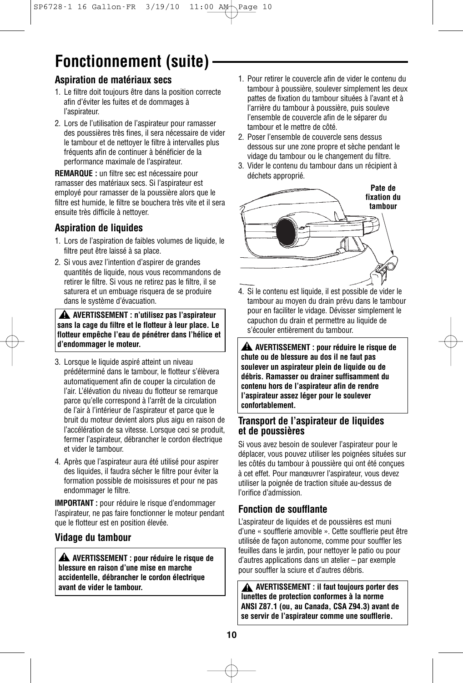# **Fonctionnement (suite)**

#### **Aspiration de matériaux secs**

- 1. Le filtre doit toujours être dans la position correcte afin d'éviter les fuites et de dommages à l'aspirateur.
- 2. Lors de l'utilisation de l'aspirateur pour ramasser des poussières très fines, il sera nécessaire de vider le tambour et de nettoyer le filtre à intervalles plus fréquents afin de continuer à bénéficier de la performance maximale de l'aspirateur.

**REMARQUE :** un filtre sec est nécessaire pour ramasser des matériaux secs. Si l'aspirateur est employé pour ramasser de la poussière alors que le filtre est humide, le filtre se bouchera très vite et il sera ensuite très difficile à nettoyer.

### **Aspiration de liquides**

- 1. Lors de l'aspiration de faibles volumes de liquide, le filtre peut être laissé à sa place.
- 2. Si vous avez l'intention d'aspirer de grandes quantités de liquide, nous vous recommandons de retirer le filtre. Si vous ne retirez pas le filtre, il se saturera et un embuage risquera de se produire dans le système d'évacuation.

**AVERTISSEMENT : n'utilisez pas l'aspirateur ! sans la cage du filtre et le flotteur à leur place. Le flotteur empêche l'eau de pénétrer dans l'hélice et d'endommager le moteur.**

- 3. Lorsque le liquide aspiré atteint un niveau prédéterminé dans le tambour, le flotteur s'élèvera automatiquement afin de couper la circulation de l'air. L'élévation du niveau du flotteur se remarque parce qu'elle correspond à l'arrêt de la circulation de l'air à l'intérieur de l'aspirateur et parce que le bruit du moteur devient alors plus aigu en raison de l'accélération de sa vitesse. Lorsque ceci se produit, fermer l'aspirateur, débrancher le cordon électrique et vider le tambour.
- 4. Après que l'aspirateur aura été utilisé pour aspirer des liquides, il faudra sécher le filtre pour éviter la formation possible de moisissures et pour ne pas endommager le filtre.

**IMPORTANT :** pour réduire le risque d'endommager l'aspirateur, ne pas faire fonctionner le moteur pendant que le flotteur est en position élevée.

#### **Vidage du tambour**

**AVERTISSEMENT : pour réduire le risque de ! blessure en raison d'une mise en marche accidentelle, débrancher le cordon électrique avant de vider le tambour.**

- 1. Pour retirer le couvercle afin de vider le contenu du tambour à poussière, soulever simplement les deux pattes de fixation du tambour situées à l'avant et à l'arrière du tambour à poussière, puis souleve l'ensemble de couvercle afin de le séparer du tambour et le mettre de côté.
- 2. Poser l'ensemble de couvercle sens dessus dessous sur une zone propre et sèche pendant le vidage du tambour ou le changement du filtre.
- 3. Vider le contenu du tambour dans un récipient à déchets approprié.



4. Si le contenu est liquide, il est possible de vider le tambour au moyen du drain prévu dans le tambour pour en faciliter le vidage. Dévisser simplement le capuchon du drain et permettre au liquide de s'écouler entièrement du tambour.

**AVERTISSEMENT : pour réduire le risque de ! chute ou de blessure au dos il ne faut pas soulever un aspirateur plein de liquide ou de débris. Ramasser ou drainer suffisamment du contenu hors de l'aspirateur afin de rendre l'aspirateur assez léger pour le soulever confortablement.**

#### **Transport de l'aspirateur de liquides et de poussières**

Si vous avez besoin de soulever l'aspirateur pour le déplacer, vous pouvez utiliser les poignées situées sur les côtés du tambour à poussière qui ont été conçues à cet effet. Pour manœuvrer l'aspirateur, vous devez utiliser la poignée de traction située au-dessus de l'orifice d'admission.

#### **Fonction de soufflante**

L'aspirateur de liquides et de poussières est muni d'une « soufflerie amovible ». Cette soufflerie peut être utilisée de façon autonome, comme pour souffler les feuilles dans le jardin, pour nettoyer le patio ou pour d'autres applications dans un atelier – par exemple pour souffler la sciure et d'autres débris.

**AVERTISSEMENT : il faut toujours porter des ! lunettes de protection conformes à la norme ANSI Z87.1 (ou, au Canada, CSA Z94.3) avant de se servir de l'aspirateur comme une soufflerie.**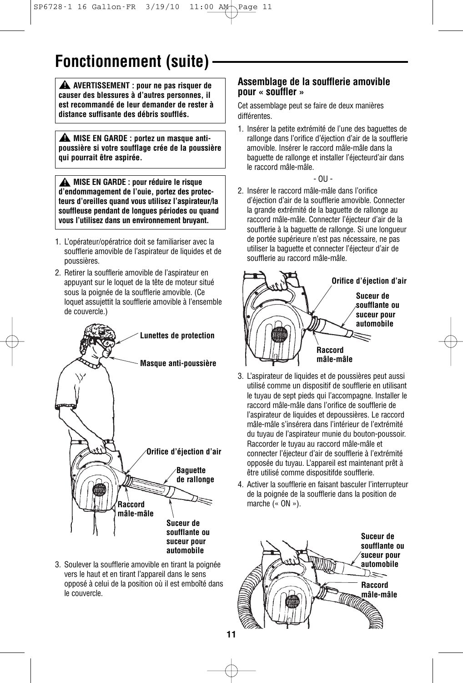## **Fonctionnement (suite)**

**AVERTISSEMENT : pour ne pas risquer de ! causer des blessures à d'autres personnes, il est recommandé de leur demander de rester à distance suffisante des débris soufflés.**

**MISE EN GARDE : portez un masque anti-! poussière si votre soufflage crée de la poussière qui pourrait être aspirée.**

**MISE EN GARDE : pour réduire le risque ! d'endommagement de l'ouie, portez des protecteurs d'oreilles quand vous utilisez l'aspirateur/la souffleuse pendant de longues périodes ou quand vous l'utilisez dans un environnement bruyant.**

- 1. L'opérateur/opératrice doit se familiariser avec la soufflerie amovible de l'aspirateur de liquides et de poussières.
- 2. Retirer la soufflerie amovible de l'aspirateur en appuyant sur le loquet de la tête de moteur situé sous la poignée de la soufflerie amovible. (Ce loquet assujettit la soufflerie amovible à l'ensemble de couvercle.)



3. Soulever la soufflerie amovible en tirant la poignée vers le haut et en tirant l'appareil dans le sens opposé à celui de la position où il est emboîté dans le couvercle.

#### **Assemblage de la soufflerie amovible pour « souffler »**

Cet assemblage peut se faire de deux manières différentes.

1. Insérer la petite extrémité de l'une des baguettes de rallonge dans l'orifice d'éjection d'air de la soufflerie amovible. Insérer le raccord mâle-mâle dans la baguette de rallonge et installer l'éjecteurd'air dans le raccord mâle-mâle.

$$
\sim 00-
$$

2. Insérer le raccord mâle-mâle dans l'orifice d'éjection d'air de la soufflerie amovible. Connecter la grande extrémité de la baguette de rallonge au raccord mâle-mâle. Connecter l'éjecteur d'air de la soufflerie à la baguette de rallonge. Si une longueur de portée supérieure n'est pas nécessaire, ne pas utiliser la baguette et connecter l'éjecteur d'air de soufflerie au raccord mâle-mâle.



- 3. L'aspirateur de liquides et de poussières peut aussi utilisé comme un dispositif de soufflerie en utilisant le tuyau de sept pieds qui l'accompagne. Installer le raccord mâle-mâle dans l'orifice de soufflerie de l'aspirateur de liquides et depoussières. Le raccord mâle-mâle s'insérera dans l'intérieur de l'extrémité du tuyau de l'aspirateur munie du bouton-poussoir. Raccorder le tuyau au raccord mâle-mâle et connecter l'éjecteur d'air de soufflerie à l'extrémité opposée du tuyau. L'appareil est maintenant prêt à être utilisé comme dispositifde soufflerie.
- 4. Activer la soufflerie en faisant basculer l'interrupteur de la poignée de la soufflerie dans la position de marche (« ON »).

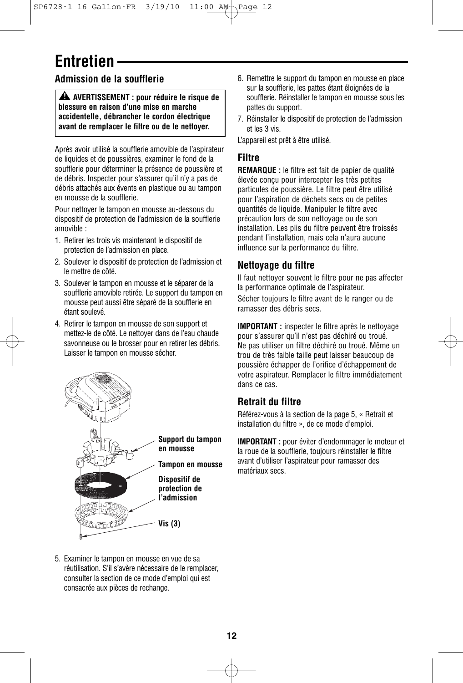## **Entretien**

### **Admission de la soufflerie**

**AVERTISSEMENT : pour réduire le risque de ! blessure en raison d'une mise en marche accidentelle, débrancher le cordon électrique avant de remplacer le filtre ou de le nettoyer.**

Après avoir utilisé la soufflerie amovible de l'aspirateur de liquides et de poussières, examiner le fond de la soufflerie pour déterminer la présence de poussière et de débris. Inspecter pour s'assurer qu'il n'y a pas de débris attachés aux évents en plastique ou au tampon en mousse de la soufflerie.

Pour nettoyer le tampon en mousse au-dessous du dispositif de protection de l'admission de la soufflerie amovible :

- 1. Retirer les trois vis maintenant le dispositif de protection de l'admission en place.
- 2. Soulever le dispositif de protection de l'admission et le mettre de côté.
- 3. Soulever le tampon en mousse et le séparer de la soufflerie amovible retirée. Le support du tampon en mousse peut aussi être séparé de la soufflerie en étant soulevé.
- 4. Retirer le tampon en mousse de son support et mettez-le de côté. Le nettoyer dans de l'eau chaude savonneuse ou le brosser pour en retirer les débris. Laisser le tampon en mousse sécher.



- 6. Remettre le support du tampon en mousse en place sur la soufflerie, les pattes étant éloignées de la soufflerie. Réinstaller le tampon en mousse sous les pattes du support.
- 7. Réinstaller le dispositif de protection de l'admission et les 3 vis.

L'appareil est prêt à être utilisé.

#### **Filtre**

**REMARQUE :** le filtre est fait de papier de qualité élevée conçu pour intercepter les très petites particules de poussière. Le filtre peut être utilisé pour l'aspiration de déchets secs ou de petites quantités de liquide. Manipuler le filtre avec précaution lors de son nettoyage ou de son installation. Les plis du filtre peuvent être froissés pendant l'installation, mais cela n'aura aucune influence sur la performance du filtre.

#### **Nettoyage du filtre**

Il faut nettoyer souvent le filtre pour ne pas affecter la performance optimale de l'aspirateur. Sécher toujours le filtre avant de le ranger ou de ramasser des débris secs.

**IMPORTANT :** inspecter le filtre après le nettoyage pour s'assurer qu'il n'est pas déchiré ou troué. Ne pas utiliser un filtre déchiré ou troué. Même un trou de très faible taille peut laisser beaucoup de poussière échapper de l'orifice d'échappement de votre aspirateur. Remplacer le filtre immédiatement dans ce cas.

#### **Retrait du filtre**

Référez-vous à la section de la page 5, « Retrait et installation du filtre », de ce mode d'emploi.

**IMPORTANT :** pour éviter d'endommager le moteur et la roue de la soufflerie, toujours réinstaller le filtre avant d'utiliser l'aspirateur pour ramasser des matériaux secs.

5. Examiner le tampon en mousse en vue de sa réutilisation. S'il s'avère nécessaire de le remplacer, consulter la section de ce mode d'emploi qui est consacrée aux pièces de rechange.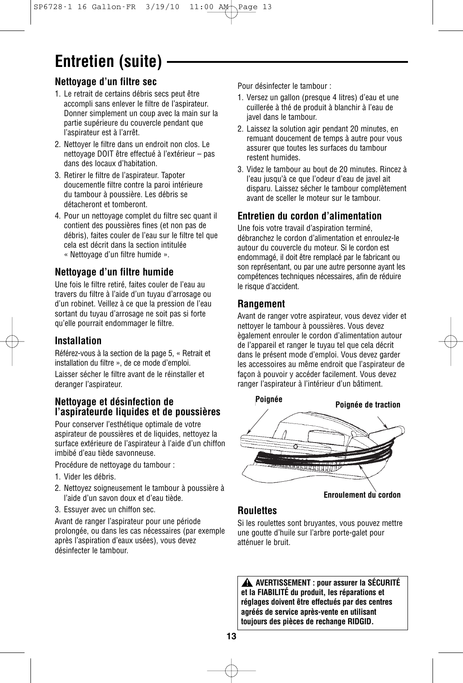# **Entretien (suite)**

### **Nettoyage d'un filtre sec**

- 1. Le retrait de certains débris secs peut être accompli sans enlever le filtre de l'aspirateur. Donner simplement un coup avec la main sur la partie supérieure du couvercle pendant que l'aspirateur est à l'arrêt.
- 2. Nettoyer le filtre dans un endroit non clos. Le nettoyage DOIT être effectué à l'extérieur – pas dans des locaux d'habitation.
- 3. Retirer le filtre de l'aspirateur. Tapoter doucementle filtre contre la paroi intérieure du tambour à poussière. Les débris se détacheront et tomberont.
- 4. Pour un nettoyage complet du filtre sec quant il contient des poussières fines (et non pas de débris), faites couler de l'eau sur le filtre tel que cela est décrit dans la section intitulée « Nettoyage d'un filtre humide ».

#### **Nettoyage d'un filtre humide**

Une fois le filtre retiré, faites couler de l'eau au travers du filtre à l'aide d'un tuyau d'arrosage ou d'un robinet. Veillez à ce que la pression de l'eau sortant du tuyau d'arrosage ne soit pas si forte qu'elle pourrait endommager le filtre.

#### **Installation**

Référez-vous à la section de la page 5, « Retrait et installation du filtre », de ce mode d'emploi.

Laisser sécher le filtre avant de le réinstaller et deranger l'aspirateur.

#### **Nettoyage et désinfection de l'aspirateurde liquides et de poussières**

Pour conserver l'esthétique optimale de votre aspirateur de poussières et de liquides, nettoyez la surface extérieure de l'aspirateur à l'aide d'un chiffon imbibé d'eau tiède savonneuse.

Procédure de nettoyage du tambour :

- 1. Vider les débris.
- 2. Nettoyez soigneusement le tambour à poussière à l'aide d'un savon doux et d'eau tiède.
- 3. Essuyer avec un chiffon sec.

Avant de ranger l'aspirateur pour une période prolongée, ou dans les cas nécessaires (par exemple après l'aspiration d'eaux usées), vous devez désinfecter le tambour.

Pour désinfecter le tambour :

- 1. Versez un gallon (presque 4 litres) d'eau et une cuillerée à thé de produit à blanchir à l'eau de javel dans le tambour.
- 2. Laissez la solution agir pendant 20 minutes, en remuant doucement de temps à autre pour vous assurer que toutes les surfaces du tambour restent humides.
- 3. Videz le tambour au bout de 20 minutes. Rincez à l'eau jusqu'à ce que l'odeur d'eau de javel ait disparu. Laissez sécher le tambour complètement avant de sceller le moteur sur le tambour.

#### **Entretien du cordon d'alimentation**

Une fois votre travail d'aspiration terminé, débranchez le cordon d'alimentation et enroulez-le autour du couvercle du moteur. Si le cordon est endommagé, il doit être remplacé par le fabricant ou son représentant, ou par une autre personne ayant les compétences techniques nécessaires, afin de réduire le risque d'accident.

#### **Rangement**

Avant de ranger votre aspirateur, vous devez vider et nettoyer le tambour à poussières. Vous devez ègalement enrouler le cordon d'alimentation autour de l'appareil et ranger le tuyau tel que cela décrit dans le présent mode d'emploi. Vous devez garder les accessoires au même endroit que l'aspirateur de façon à pouvoir y accéder facilement. Vous devez ranger l'aspirateur à l'intérieur d'un bâtiment.



### **Roulettes**

Si les roulettes sont bruyantes, vous pouvez mettre une goutte d'huile sur l'arbre porte-galet pour atténuer le bruit.

**AVERTISSEMENT : pour assurer la SÉCURITÉ ! et la FIABILITÉ du produit, les réparations et réglages doivent être effectués par des centres agréés de service après-vente en utilisant toujours des pièces de rechange RIDGID.**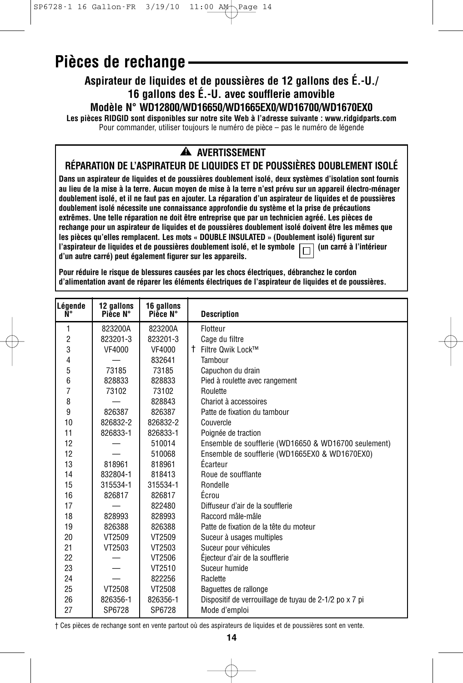### **Pièces de rechange**

#### **Aspirateur de liquides et de poussières de 12 gallons des É.-U./ 16 gallons des É.-U. avec soufflerie amovible Modèle N° WD12800/WD16650/WD1665EX0/WD16700/WD1670EX0**

**Les pièces RIDGID sont disponibles sur notre site Web à l'adresse suivante : www.ridgidparts.com** Pour commander, utiliser toujours le numéro de pièce – pas le numéro de légende

### **AVERTISSEMENT !**

#### **RÉPARATION DE L'ASPIRATEUR DE LIQUIDES ET DE POUSSIÈRES DOUBLEMENT ISOLÉ**

**Dans un aspirateur de liquides et de poussières doublement isolé, deux systèmes d'isolation sont fournis au lieu de la mise à la terre. Aucun moyen de mise à la terre n'est prévu sur un appareil électro-ménager doublement isolé, et il ne faut pas en ajouter. La réparation d'un aspirateur de liquides et de poussières doublement isolé nécessite une connaissance approfondie du système et la prise de précautions extrêmes. Une telle réparation ne doit être entreprise que par un technicien agréé. Les pièces de rechange pour un aspirateur de liquides et de poussières doublement isolé doivent être les mêmes que les pièces qu'elles remplacent. Les mots « DOUBLE INSULATED » (Doublement isolé) figurent sur** l'aspirateur de liquides et de poussières doublement isolé, et le symbole  $\Box$  (un carré à l'intérieur **d'un autre carré) peut également figurer sur les appareils.**

**Pour réduire le risque de blessures causées par les chocs électriques, débranchez le cordon d'alimentation avant de réparer les éléments électriques de l'aspirateur de liquides et de poussières.**

| Légende<br>Ñ۰  | 12 gallons<br>Pièce N° | 16 gallons<br>Pièce N° | <b>Description</b>                                     |
|----------------|------------------------|------------------------|--------------------------------------------------------|
| 1              | 823200A                | 823200A                | Flotteur                                               |
| $\overline{2}$ | 823201-3               | 823201-3               | Cage du filtre                                         |
| 3              | VF4000                 | VF4000                 | † Filtre Qwik Lock™                                    |
| 4              |                        | 832641                 | Tambour                                                |
| 5              | 73185                  | 73185                  | Capuchon du drain                                      |
| 6              | 828833                 | 828833                 | Pied à roulette avec rangement                         |
| 7              | 73102                  | 73102                  | Roulette                                               |
| 8              |                        | 828843                 | Chariot à accessoires                                  |
| 9              | 826387                 | 826387                 | Patte de fixation du tambour                           |
| 10             | 826832-2               | 826832-2               | Couvercle                                              |
| 11             | 826833-1               | 826833-1               | Poignée de traction                                    |
| 12             |                        | 510014                 | Ensemble de soufflerie (WD16650 & WD16700 seulement)   |
| 12             |                        | 510068                 | Ensemble de soufflerie (WD1665EX0 & WD1670EX0)         |
| 13             | 818961                 | 818961                 | Écarteur                                               |
| 14             | 832804-1               | 818413                 | Roue de soufflante                                     |
| 15             | 315534-1               | 315534-1               | Rondelle                                               |
| 16             | 826817                 | 826817                 | Écrou                                                  |
| 17             |                        | 822480                 | Diffuseur d'air de la soufflerie                       |
| 18             | 828993                 | 828993                 | Raccord mâle-mâle                                      |
| 19             | 826388                 | 826388                 | Patte de fixation de la tête du moteur                 |
| 20             | VT2509                 | VT2509                 | Suceur à usages multiples                              |
| 21             | VT2503                 | VT2503                 | Suceur pour véhicules                                  |
| 22             |                        | VT2506                 | Éiecteur d'air de la soufflerie                        |
| 23             |                        | VT2510                 | Suceur humide                                          |
| 24             |                        | 822256                 | Raclette                                               |
| 25             | VT2508                 | VT2508                 | Baquettes de rallonge                                  |
| 26             | 826356-1               | 826356-1               | Dispositif de verrouillage de tuyau de 2-1/2 po x 7 pi |
| 27             | SP6728                 | SP6728                 | Mode d'emploi                                          |

† Ces pièces de rechange sont en vente partout où des aspirateurs de liquides et de poussières sont en vente.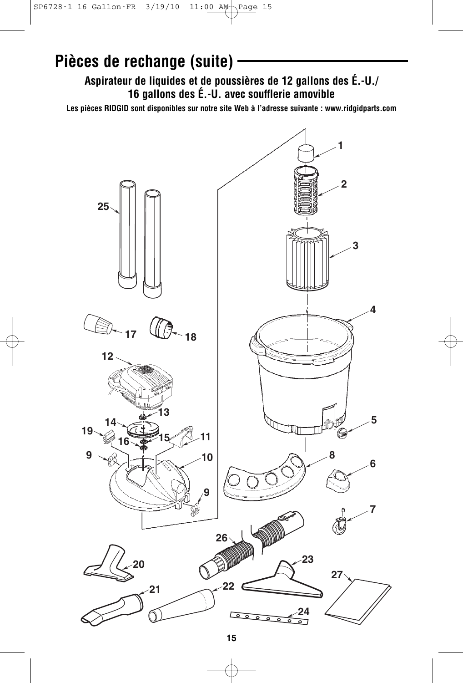### **Pièces de rechange (suite)**

**Aspirateur de liquides et de poussières de 12 gallons des É.-U./ 16 gallons des É.-U. avec soufflerie amovible**

**Les pièces RIDGID sont disponibles sur notre site Web à l'adresse suivante : www.ridgidparts.com**